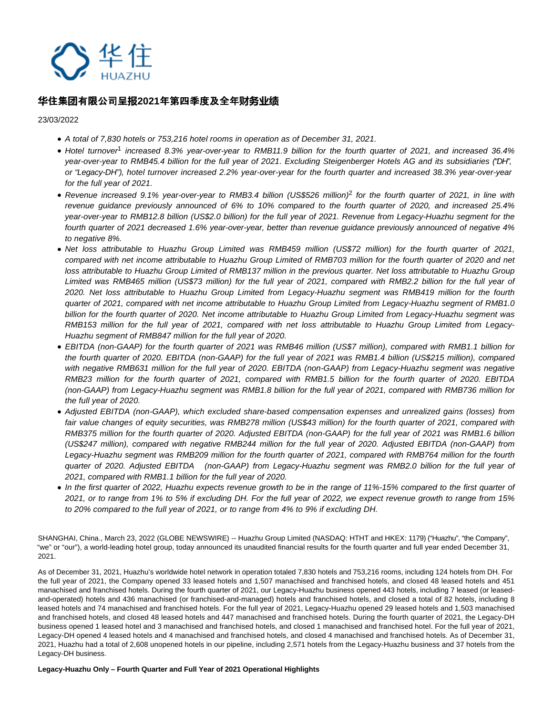

# **华**住集**团**有限公司呈**报2021**年第四季度及全年**财务业绩**

23/03/2022

- A total of 7,830 hotels or 753,216 hotel rooms in operation as of December 31, 2021.
- Hotel turnover<sup>1</sup> increased 8.3% year-over-year to RMB11.9 billion for the fourth quarter of 2021, and increased 36.4% year-over-year to RMB45.4 billion for the full year of 2021. Excluding Steigenberger Hotels AG and its subsidiaries ("DH", or "Legacy-DH"), hotel turnover increased 2.2% year-over-year for the fourth quarter and increased 38.3% year-over-year for the full year of 2021.
- Revenue increased 9.1% year-over-year to RMB3.4 billion (US\$526 million)<sup>2</sup> for the fourth quarter of 2021, in line with revenue guidance previously announced of 6% to 10% compared to the fourth quarter of 2020, and increased 25.4% year-over-year to RMB12.8 billion (US\$2.0 billion) for the full year of 2021. Revenue from Legacy-Huazhu segment for the fourth quarter of 2021 decreased 1.6% year-over-year, better than revenue guidance previously announced of negative 4% to negative 8%.
- Net loss attributable to Huazhu Group Limited was RMB459 million (US\$72 million) for the fourth quarter of 2021, compared with net income attributable to Huazhu Group Limited of RMB703 million for the fourth quarter of 2020 and net loss attributable to Huazhu Group Limited of RMB137 million in the previous quarter. Net loss attributable to Huazhu Group Limited was RMB465 million (US\$73 million) for the full year of 2021, compared with RMB2.2 billion for the full year of 2020. Net loss attributable to Huazhu Group Limited from Legacy-Huazhu segment was RMB419 million for the fourth quarter of 2021, compared with net income attributable to Huazhu Group Limited from Legacy-Huazhu segment of RMB1.0 billion for the fourth quarter of 2020. Net income attributable to Huazhu Group Limited from Legacy-Huazhu segment was RMB153 million for the full year of 2021, compared with net loss attributable to Huazhu Group Limited from Legacy-Huazhu segment of RMB847 million for the full year of 2020.
- EBITDA (non-GAAP) for the fourth quarter of 2021 was RMB46 million (US\$7 million), compared with RMB1.1 billion for the fourth quarter of 2020. EBITDA (non-GAAP) for the full year of 2021 was RMB1.4 billion (US\$215 million), compared with negative RMB631 million for the full year of 2020. EBITDA (non-GAAP) from Legacy-Huazhu segment was negative RMB23 million for the fourth quarter of 2021, compared with RMB1.5 billion for the fourth quarter of 2020. EBITDA (non-GAAP) from Legacy-Huazhu segment was RMB1.8 billion for the full year of 2021, compared with RMB736 million for the full year of 2020.
- Adjusted EBITDA (non-GAAP), which excluded share-based compensation expenses and unrealized gains (losses) from fair value changes of equity securities, was RMB278 million (US\$43 million) for the fourth quarter of 2021, compared with RMB375 million for the fourth quarter of 2020. Adjusted EBITDA (non-GAAP) for the full year of 2021 was RMB1.6 billion (US\$247 million), compared with negative RMB244 million for the full year of 2020. Adjusted EBITDA (non-GAAP) from Legacy-Huazhu segment was RMB209 million for the fourth quarter of 2021, compared with RMB764 million for the fourth quarter of 2020. Adjusted EBITDA (non-GAAP) from Legacy-Huazhu segment was RMB2.0 billion for the full year of 2021, compared with RMB1.1 billion for the full year of 2020.
- In the first quarter of 2022, Huazhu expects revenue growth to be in the range of 11%-15% compared to the first quarter of 2021, or to range from 1% to 5% if excluding DH. For the full year of 2022, we expect revenue growth to range from 15% to 20% compared to the full year of 2021, or to range from 4% to 9% if excluding DH.

SHANGHAI, China., March 23, 2022 (GLOBE NEWSWIRE) -- Huazhu Group Limited (NASDAQ: HTHT and HKEX: 1179) ("Huazhu", "the Company", "we" or "our"), a world-leading hotel group, today announced its unaudited financial results for the fourth quarter and full year ended December 31, 2021.

As of December 31, 2021, Huazhu's worldwide hotel network in operation totaled 7,830 hotels and 753,216 rooms, including 124 hotels from DH. For the full year of 2021, the Company opened 33 leased hotels and 1,507 manachised and franchised hotels, and closed 48 leased hotels and 451 manachised and franchised hotels. During the fourth quarter of 2021, our Legacy-Huazhu business opened 443 hotels, including 7 leased (or leasedand-operated) hotels and 436 manachised (or franchised-and-managed) hotels and franchised hotels, and closed a total of 82 hotels, including 8 leased hotels and 74 manachised and franchised hotels. For the full year of 2021, Legacy-Huazhu opened 29 leased hotels and 1,503 manachised and franchised hotels, and closed 48 leased hotels and 447 manachised and franchised hotels. During the fourth quarter of 2021, the Legacy-DH business opened 1 leased hotel and 3 manachised and franchised hotels, and closed 1 manachised and franchised hotel. For the full year of 2021, Legacy-DH opened 4 leased hotels and 4 manachised and franchised hotels, and closed 4 manachised and franchised hotels. As of December 31, 2021, Huazhu had a total of 2,608 unopened hotels in our pipeline, including 2,571 hotels from the Legacy-Huazhu business and 37 hotels from the Legacy-DH business.

**Legacy-Huazhu Only – Fourth Quarter and Full Year of 2021 Operational Highlights**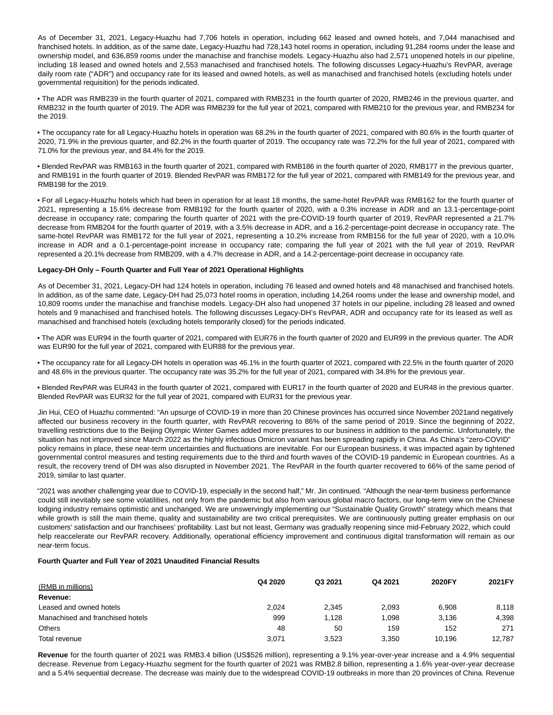As of December 31, 2021, Legacy-Huazhu had 7,706 hotels in operation, including 662 leased and owned hotels, and 7,044 manachised and franchised hotels. In addition, as of the same date, Legacy-Huazhu had 728,143 hotel rooms in operation, including 91,284 rooms under the lease and ownership model, and 636,859 rooms under the manachise and franchise models. Legacy-Huazhu also had 2,571 unopened hotels in our pipeline, including 18 leased and owned hotels and 2,553 manachised and franchised hotels. The following discusses Legacy-Huazhu's RevPAR, average daily room rate ("ADR") and occupancy rate for its leased and owned hotels, as well as manachised and franchised hotels (excluding hotels under governmental requisition) for the periods indicated.

• The ADR was RMB239 in the fourth quarter of 2021, compared with RMB231 in the fourth quarter of 2020, RMB246 in the previous quarter, and RMB232 in the fourth quarter of 2019. The ADR was RMB239 for the full year of 2021, compared with RMB210 for the previous year, and RMB234 for the 2019.

• The occupancy rate for all Legacy-Huazhu hotels in operation was 68.2% in the fourth quarter of 2021, compared with 80.6% in the fourth quarter of 2020, 71.9% in the previous quarter, and 82.2% in the fourth quarter of 2019. The occupancy rate was 72.2% for the full year of 2021, compared with 71.0% for the previous year, and 84.4% for the 2019.

• Blended RevPAR was RMB163 in the fourth quarter of 2021, compared with RMB186 in the fourth quarter of 2020, RMB177 in the previous quarter, and RMB191 in the fourth quarter of 2019. Blended RevPAR was RMB172 for the full year of 2021, compared with RMB149 for the previous year, and RMB198 for the 2019.

• For all Legacy-Huazhu hotels which had been in operation for at least 18 months, the same-hotel RevPAR was RMB162 for the fourth quarter of 2021, representing a 15.6% decrease from RMB192 for the fourth quarter of 2020, with a 0.3% increase in ADR and an 13.1-percentage-point decrease in occupancy rate; comparing the fourth quarter of 2021 with the pre-COVID-19 fourth quarter of 2019, RevPAR represented a 21.7% decrease from RMB204 for the fourth quarter of 2019, with a 3.5% decrease in ADR, and a 16.2-percentage-point decrease in occupancy rate. The same-hotel RevPAR was RMB172 for the full year of 2021, representing a 10.2% increase from RMB156 for the full year of 2020, with a 10.0% increase in ADR and a 0.1-percentage-point increase in occupancy rate; comparing the full year of 2021 with the full year of 2019, RevPAR represented a 20.1% decrease from RMB209, with a 4.7% decrease in ADR, and a 14.2-percentage-point decrease in occupancy rate.

## **Legacy-DH Only – Fourth Quarter and Full Year of 2021 Operational Highlights**

As of December 31, 2021, Legacy-DH had 124 hotels in operation, including 76 leased and owned hotels and 48 manachised and franchised hotels. In addition, as of the same date, Legacy-DH had 25,073 hotel rooms in operation, including 14,264 rooms under the lease and ownership model, and 10,809 rooms under the manachise and franchise models. Legacy-DH also had unopened 37 hotels in our pipeline, including 28 leased and owned hotels and 9 manachised and franchised hotels. The following discusses Legacy-DH's RevPAR, ADR and occupancy rate for its leased as well as manachised and franchised hotels (excluding hotels temporarily closed) for the periods indicated.

• The ADR was EUR94 in the fourth quarter of 2021, compared with EUR76 in the fourth quarter of 2020 and EUR99 in the previous quarter. The ADR was EUR90 for the full year of 2021, compared with EUR88 for the previous year.

• The occupancy rate for all Legacy-DH hotels in operation was 46.1% in the fourth quarter of 2021, compared with 22.5% in the fourth quarter of 2020 and 48.6% in the previous quarter. The occupancy rate was 35.2% for the full year of 2021, compared with 34.8% for the previous year.

• Blended RevPAR was EUR43 in the fourth quarter of 2021, compared with EUR17 in the fourth quarter of 2020 and EUR48 in the previous quarter. Blended RevPAR was EUR32 for the full year of 2021, compared with EUR31 for the previous year.

Jin Hui, CEO of Huazhu commented: "An upsurge of COVID-19 in more than 20 Chinese provinces has occurred since November 2021and negatively affected our business recovery in the fourth quarter, with RevPAR recovering to 86% of the same period of 2019. Since the beginning of 2022, travelling restrictions due to the Beijing Olympic Winter Games added more pressures to our business in addition to the pandemic. Unfortunately, the situation has not improved since March 2022 as the highly infectious Omicron variant has been spreading rapidly in China. As China's "zero-COVID" policy remains in place, these near-term uncertainties and fluctuations are inevitable. For our European business, it was impacted again by tightened governmental control measures and testing requirements due to the third and fourth waves of the COVID-19 pandemic in European countries. As a result, the recovery trend of DH was also disrupted in November 2021. The RevPAR in the fourth quarter recovered to 66% of the same period of 2019, similar to last quarter.

"2021 was another challenging year due to COVID-19, especially in the second half," Mr. Jin continued. "Although the near-term business performance could still inevitably see some volatilities, not only from the pandemic but also from various global macro factors, our long-term view on the Chinese lodging industry remains optimistic and unchanged. We are unswervingly implementing our "Sustainable Quality Growth" strategy which means that while growth is still the main theme, quality and sustainability are two critical prerequisites. We are continuously putting greater emphasis on our customers' satisfaction and our franchisees' profitability. Last but not least, Germany was gradually reopening since mid-February 2022, which could help reaccelerate our RevPAR recovery. Additionally, operational efficiency improvement and continuous digital transformation will remain as our near-term focus.

#### **Fourth Quarter and Full Year of 2021 Unaudited Financial Results**

| (RMB in millions)                | Q4 2020 | Q3 2021 | Q4 2021 | 2020FY | 2021FY |
|----------------------------------|---------|---------|---------|--------|--------|
| Revenue:                         |         |         |         |        |        |
| Leased and owned hotels          | 2.024   | 2.345   | 2.093   | 6.908  | 8.118  |
| Manachised and franchised hotels | 999     | 1.128   | 1.098   | 3.136  | 4,398  |
| <b>Others</b>                    | 48      | 50      | 159     | 152    | 271    |
| Total revenue                    | 3,071   | 3.523   | 3.350   | 10.196 | 12.787 |

**Revenue** for the fourth quarter of 2021 was RMB3.4 billion (US\$526 million), representing a 9.1% year-over-year increase and a 4.9% sequential decrease. Revenue from Legacy-Huazhu segment for the fourth quarter of 2021 was RMB2.8 billion, representing a 1.6% year-over-year decrease and a 5.4% sequential decrease. The decrease was mainly due to the widespread COVID-19 outbreaks in more than 20 provinces of China. Revenue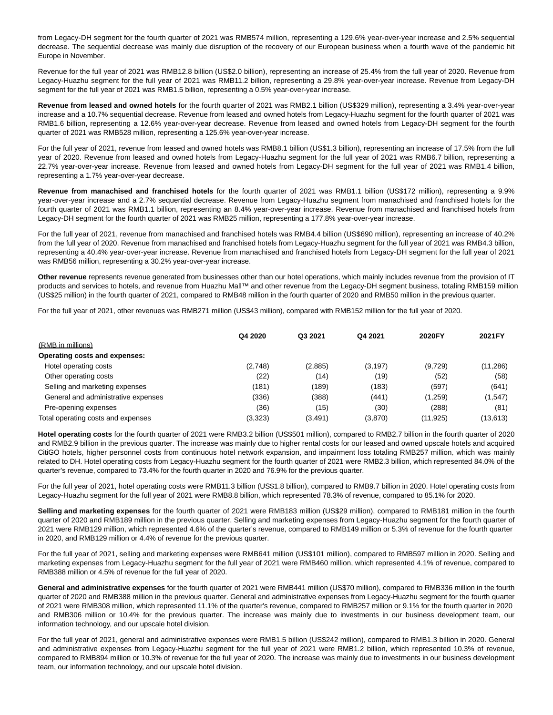from Legacy-DH segment for the fourth quarter of 2021 was RMB574 million, representing a 129.6% year-over-year increase and 2.5% sequential decrease. The sequential decrease was mainly due disruption of the recovery of our European business when a fourth wave of the pandemic hit Europe in November.

Revenue for the full year of 2021 was RMB12.8 billion (US\$2.0 billion), representing an increase of 25.4% from the full year of 2020. Revenue from Legacy-Huazhu segment for the full year of 2021 was RMB11.2 billion, representing a 29.8% year-over-year increase. Revenue from Legacy-DH segment for the full year of 2021 was RMB1.5 billion, representing a 0.5% year-over-year increase.

**Revenue from leased and owned hotels** for the fourth quarter of 2021 was RMB2.1 billion (US\$329 million), representing a 3.4% year-over-year increase and a 10.7% sequential decrease. Revenue from leased and owned hotels from Legacy-Huazhu segment for the fourth quarter of 2021 was RMB1.6 billion, representing a 12.6% year-over-year decrease. Revenue from leased and owned hotels from Legacy-DH segment for the fourth quarter of 2021 was RMB528 million, representing a 125.6% year-over-year increase.

For the full year of 2021, revenue from leased and owned hotels was RMB8.1 billion (US\$1.3 billion), representing an increase of 17.5% from the full year of 2020. Revenue from leased and owned hotels from Legacy-Huazhu segment for the full year of 2021 was RMB6.7 billion, representing a 22.7% year-over-year increase. Revenue from leased and owned hotels from Legacy-DH segment for the full year of 2021 was RMB1.4 billion, representing a 1.7% year-over-year decrease.

**Revenue from manachised and franchised hotels** for the fourth quarter of 2021 was RMB1.1 billion (US\$172 million), representing a 9.9% year-over-year increase and a 2.7% sequential decrease. Revenue from Legacy-Huazhu segment from manachised and franchised hotels for the fourth quarter of 2021 was RMB1.1 billion, representing an 8.4% year-over-year increase. Revenue from manachised and franchised hotels from Legacy-DH segment for the fourth quarter of 2021 was RMB25 million, representing a 177.8% year-over-year increase.

For the full year of 2021, revenue from manachised and franchised hotels was RMB4.4 billion (US\$690 million), representing an increase of 40.2% from the full year of 2020. Revenue from manachised and franchised hotels from Legacy-Huazhu segment for the full year of 2021 was RMB4.3 billion, representing a 40.4% year-over-year increase. Revenue from manachised and franchised hotels from Legacy-DH segment for the full year of 2021 was RMB56 million, representing a 30.2% year-over-year increase.

**Other revenue** represents revenue generated from businesses other than our hotel operations, which mainly includes revenue from the provision of IT products and services to hotels, and revenue from Huazhu Mall™ and other revenue from the Legacy-DH segment business, totaling RMB159 million (US\$25 million) in the fourth quarter of 2021, compared to RMB48 million in the fourth quarter of 2020 and RMB50 million in the previous quarter.

For the full year of 2021, other revenues was RMB271 million (US\$43 million), compared with RMB152 million for the full year of 2020.

|                                     | Q4 2020 | Q3 2021  | Q4 2021  | 2020FY    | 2021FY    |
|-------------------------------------|---------|----------|----------|-----------|-----------|
| (RMB in millions)                   |         |          |          |           |           |
| Operating costs and expenses:       |         |          |          |           |           |
| Hotel operating costs               | (2,748) | (2,885)  | (3, 197) | (9,729)   | (11, 286) |
| Other operating costs               | (22)    | (14)     | (19)     | (52)      | (58)      |
| Selling and marketing expenses      | (181)   | (189)    | (183)    | (597)     | (641)     |
| General and administrative expenses | (336)   | (388)    | (441)    | (1,259)   | (1, 547)  |
| Pre-opening expenses                | (36)    | (15)     | (30)     | (288)     | (81)      |
| Total operating costs and expenses  | (3,323) | (3, 491) | (3,870)  | (11, 925) | (13,613)  |

**Hotel operating costs** for the fourth quarter of 2021 were RMB3.2 billion (US\$501 million), compared to RMB2.7 billion in the fourth quarter of 2020 and RMB2.9 billion in the previous quarter. The increase was mainly due to higher rental costs for our leased and owned upscale hotels and acquired CitiGO hotels, higher personnel costs from continuous hotel network expansion, and impairment loss totaling RMB257 million,which was mainly related to DH. Hotel operating costs from Legacy-Huazhu segment for the fourth quarter of 2021 were RMB2.3 billion, which represented 84.0% of the quarter's revenue, compared to 73.4% for the fourth quarter in 2020 and 76.9% for the previous quarter.

For the full year of 2021, hotel operating costs were RMB11.3 billion (US\$1.8 billion), compared to RMB9.7 billion in 2020. Hotel operating costs from Legacy-Huazhu segment for the full year of 2021 were RMB8.8 billion, which represented 78.3% of revenue, compared to 85.1% for 2020.

**Selling and marketing expenses** for the fourth quarter of 2021 were RMB183 million (US\$29 million), compared to RMB181 million in the fourth quarter of 2020 and RMB189 million in the previous quarter. Selling and marketing expenses from Legacy-Huazhu segment for the fourth quarter of 2021 were RMB129 million, which represented 4.6% of the quarter's revenue, compared to RMB149 million or 5.3% of revenue for the fourth quarter in 2020, and RMB129 million or 4.4% of revenue for the previous quarter.

For the full year of 2021, selling and marketing expenses were RMB641 million (US\$101 million), compared to RMB597 million in 2020. Selling and marketing expenses from Legacy-Huazhu segment for the full year of 2021 were RMB460 million, which represented 4.1% of revenue, compared to RMB388 million or 4.5% of revenue for the full year of 2020.

**General and administrative expenses** for the fourth quarter of 2021 were RMB441 million (US\$70 million), compared to RMB336 million in the fourth quarter of 2020 and RMB388 million in the previous quarter. General and administrative expenses from Legacy-Huazhu segment for the fourth quarter of 2021 were RMB308 million, which represented 11.1% of the quarter's revenue, compared to RMB257 million or 9.1% for the fourth quarter in 2020 and RMB306 million or 10.4% for the previous quarter. The increase was mainly due to investments in our business development team, our information technology, and our upscale hotel division.

For the full year of 2021, general and administrative expenses were RMB1.5 billion (US\$242 million), compared to RMB1.3 billion in 2020. General and administrative expenses from Legacy-Huazhu segment for the full year of 2021 were RMB1.2 billion, which represented 10.3% of revenue, compared to RMB894 million or 10.3% of revenue for the full year of 2020. The increase was mainly due to investments in our business development team, our information technology, and our upscale hotel division.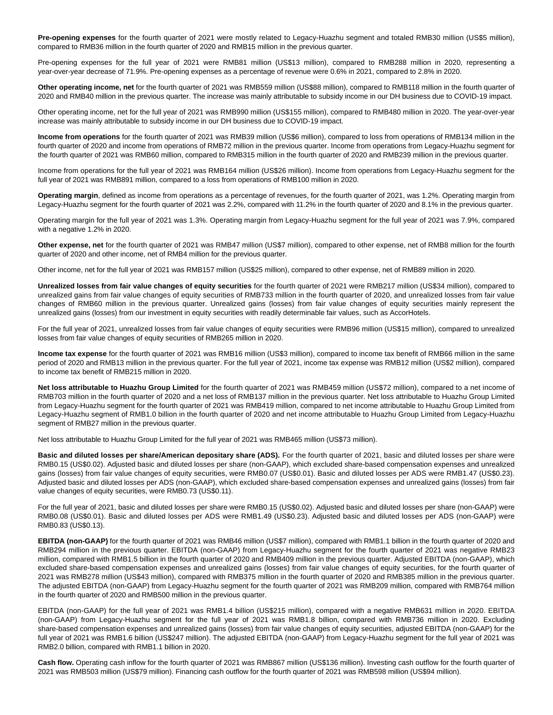**Pre-opening expenses** for the fourth quarter of 2021 were mostly related to Legacy-Huazhu segment and totaled RMB30 million (US\$5 million), compared to RMB36 million in the fourth quarter of 2020 and RMB15 million in the previous quarter.

Pre-opening expenses for the full year of 2021 were RMB81 million (US\$13 million), compared to RMB288 million in 2020, representing a year-over-year decrease of 71.9%. Pre-opening expenses as a percentage of revenue were 0.6% in 2021, compared to 2.8% in 2020.

**Other operating income, net** for the fourth quarter of 2021 was RMB559 million (US\$88 million), compared to RMB118 million in the fourth quarter of 2020 and RMB40 million in the previous quarter. The increase was mainly attributable to subsidy income in our DH business due to COVID-19 impact.

Other operating income, net for the full year of 2021 was RMB990 million (US\$155 million), compared to RMB480 million in 2020. The year-over-year increase was mainly attributable to subsidy income in our DH business due to COVID-19 impact.

**Income from operations** for the fourth quarter of 2021 was RMB39 million (US\$6 million), compared to loss from operations of RMB134 million in the fourth quarter of 2020 and income from operations of RMB72 million in the previous quarter. Income from operations from Legacy-Huazhu segment for the fourth quarter of 2021 was RMB60 million, compared to RMB315 million in the fourth quarter of 2020 and RMB239 million in the previous quarter.

Income from operations for the full year of 2021 was RMB164 million (US\$26 million). Income from operations from Legacy-Huazhu segment for the full year of 2021 was RMB891 million, compared to a loss from operations of RMB100 million in 2020.

**Operating margin**, defined as income from operations as a percentage of revenues, for the fourth quarter of 2021, was 1.2%. Operating margin from Legacy-Huazhu segment for the fourth quarter of 2021 was 2.2%, compared with 11.2% in the fourth quarter of 2020 and 8.1% in the previous quarter.

Operating margin for the full year of 2021 was 1.3%. Operating margin from Legacy-Huazhu segment for the full year of 2021 was 7.9%, compared with a negative 1.2% in 2020.

**Other expense, net** for the fourth quarter of 2021 was RMB47 million (US\$7 million), compared to other expense, net of RMB8 million for the fourth quarter of 2020 and other income, net of RMB4 million for the previous quarter.

Other income, net for the full year of 2021 was RMB157 million (US\$25 million), compared to other expense, net of RMB89 million in 2020.

**Unrealized losses from fair value changes of equity securities** for the fourth quarter of 2021 were RMB217 million (US\$34 million), compared to unrealized gains from fair value changes of equity securities of RMB733 million in the fourth quarter of 2020, and unrealized losses from fair value changes of RMB60 million in the previous quarter. Unrealized gains (losses) from fair value changes of equity securities mainly represent the unrealized gains (losses) from our investment in equity securities with readily determinable fair values, such as AccorHotels.

For the full year of 2021, unrealized losses from fair value changes of equity securities were RMB96 million (US\$15 million), compared to unrealized losses from fair value changes of equity securities of RMB265 million in 2020.

**Income tax expense** for the fourth quarter of 2021 was RMB16 million (US\$3 million), compared to income tax benefit of RMB66 million in the same period of 2020 and RMB13 million in the previous quarter. For the full year of 2021, income tax expense was RMB12 million (US\$2 million), compared to income tax benefit of RMB215 million in 2020.

**Net loss attributable to Huazhu Group Limited** for the fourth quarter of 2021 was RMB459 million (US\$72 million), compared to a net income of RMB703 million in the fourth quarter of 2020 and a net loss of RMB137 million in the previous quarter. Net loss attributable to Huazhu Group Limited from Legacy-Huazhu segment for the fourth quarter of 2021 was RMB419 million, compared to net income attributable to Huazhu Group Limited from Legacy-Huazhu segment of RMB1.0 billion in the fourth quarter of 2020 and net income attributable to Huazhu Group Limited from Legacy-Huazhu segment of RMB27 million in the previous quarter.

Net loss attributable to Huazhu Group Limited for the full year of 2021 was RMB465 million (US\$73 million).

**Basic and diluted losses per share/American depositary share (ADS).** For the fourth quarter of 2021, basic and diluted losses per share were RMB0.15 (US\$0.02). Adjusted basic and diluted losses per share (non-GAAP), which excluded share-based compensation expenses and unrealized gains (losses) from fair value changes of equity securities, were RMB0.07 (US\$0.01). Basic and diluted losses per ADS were RMB1.47 (US\$0.23). Adjusted basic and diluted losses per ADS (non-GAAP), which excluded share-based compensation expenses and unrealized gains (losses) from fair value changes of equity securities, were RMB0.73 (US\$0.11).

For the full year of 2021, basic and diluted losses per share were RMB0.15 (US\$0.02). Adjusted basic and diluted losses per share (non-GAAP) were RMB0.08 (US\$0.01). Basic and diluted losses per ADS were RMB1.49 (US\$0.23). Adjusted basic and diluted losses per ADS (non-GAAP) were RMB0.83 (US\$0.13).

**EBITDA (non-GAAP)** for the fourth quarter of 2021 was RMB46 million (US\$7 million), compared with RMB1.1 billion in the fourth quarter of 2020 and RMB294 million in the previous quarter. EBITDA (non-GAAP) from Legacy-Huazhu segment for the fourth quarter of 2021 was negative RMB23 million, compared with RMB1.5 billion in the fourth quarter of 2020 and RMB409 million in the previous quarter. Adjusted EBITDA (non-GAAP), which excluded share-based compensation expenses and unrealized gains (losses) from fair value changes of equity securities, for the fourth quarter of 2021 was RMB278 million (US\$43 million), compared with RMB375 million in the fourth quarter of 2020 and RMB385 million in the previous quarter. The adjusted EBITDA (non-GAAP) from Legacy-Huazhu segment for the fourth quarter of 2021 was RMB209 million, compared with RMB764 million in the fourth quarter of 2020 and RMB500 million in the previous quarter.

EBITDA (non-GAAP) for the full year of 2021 was RMB1.4 billion (US\$215 million), compared with a negative RMB631 million in 2020. EBITDA (non-GAAP) from Legacy-Huazhu segment for the full year of 2021 was RMB1.8 billion, compared with RMB736 million in 2020. Excluding share-based compensation expenses and unrealized gains (losses) from fair value changes of equity securities, adjusted EBITDA (non-GAAP) for the full year of 2021 was RMB1.6 billion (US\$247 million). The adjusted EBITDA (non-GAAP) from Legacy-Huazhu segment for the full year of 2021 was RMB2.0 billion, compared with RMB1.1 billion in 2020.

**Cash flow.** Operating cash inflow for the fourth quarter of 2021 was RMB867 million (US\$136 million). Investing cash outflow for the fourth quarter of 2021 was RMB503 million (US\$79 million). Financing cash outflow for the fourth quarter of 2021 was RMB598 million (US\$94 million).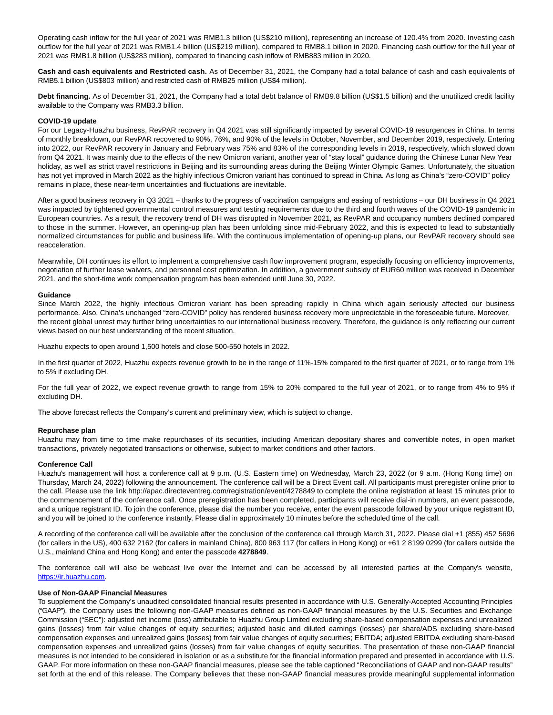Operating cash inflow for the full year of 2021 was RMB1.3 billion (US\$210 million), representing an increase of 120.4% from 2020. Investing cash outflow for the full year of 2021 was RMB1.4 billion (US\$219 million), compared to RMB8.1 billion in 2020. Financing cash outflow for the full year of 2021 was RMB1.8 billion (US\$283 million), compared to financing cash inflow of RMB883 million in 2020.

**Cash and cash equivalents and Restricted cash.** As of December 31, 2021, the Company had a total balance of cash and cash equivalents of RMB5.1 billion (US\$803 million) and restricted cash of RMB25 million (US\$4 million).

**Debt financing.** As of December 31, 2021, the Company had a total debt balance of RMB9.8 billion (US\$1.5 billion) and the unutilized credit facility available to the Company was RMB3.3 billion.

### **COVID-19 update**

For our Legacy-Huazhu business, RevPAR recovery in Q4 2021 was still significantly impacted by several COVID-19 resurgences in China. In terms of monthly breakdown, our RevPAR recovered to 90%, 76%, and 90% of the levels in October, November, and December 2019, respectively. Entering into 2022, our RevPAR recovery in January and February was 75% and 83% of the corresponding levels in 2019, respectively, which slowed down from Q4 2021. It was mainly due to the effects of the new Omicron variant, another year of "stay local" guidance during the Chinese Lunar New Year holiday, as well as strict travel restrictions in Beijing and its surrounding areas during the Beijing Winter Olympic Games. Unfortunately, the situation has not yet improved in March 2022 as the highly infectious Omicron variant has continued to spread in China. As long as China's "zero-COVID" policy remains in place, these near-term uncertainties and fluctuations are inevitable.

After a good business recovery in Q3 2021 – thanks to the progress of vaccination campaigns and easing of restrictions – our DH business in Q4 2021 was impacted by tightened governmental control measures and testing requirements due to the third and fourth waves of the COVID-19 pandemic in European countries. As a result, the recovery trend of DH was disrupted in November 2021, as RevPAR and occupancy numbers declined compared to those in the summer. However, an opening-up plan has been unfolding since mid-February 2022, and this is expected to lead to substantially normalized circumstances for public and business life. With the continuous implementation of opening-up plans, our RevPAR recovery should see reacceleration.

Meanwhile, DH continues its effort to implement a comprehensive cash flow improvement program, especially focusing on efficiency improvements, negotiation of further lease waivers, and personnel cost optimization. In addition, a government subsidy of EUR60 million was received in December 2021, and the short-time work compensation program has been extended until June 30, 2022.

### **Guidance**

Since March 2022, the highly infectious Omicron variant has been spreading rapidly in China which again seriously affected our business performance. Also, China's unchanged "zero-COVID" policy has rendered business recovery more unpredictable in the foreseeable future. Moreover, the recent global unrest may further bring uncertainties to our international business recovery. Therefore, the guidance is only reflecting our current views based on our best understanding of the recent situation.

Huazhu expects to open around 1,500 hotels and close 500-550 hotels in 2022.

In the first quarter of 2022, Huazhu expects revenue growth to be in the range of 11%-15% compared to the first quarter of 2021, or to range from 1% to 5% if excluding DH.

For the full year of 2022, we expect revenue growth to range from 15% to 20% compared to the full year of 2021, or to range from 4% to 9% if excluding DH.

The above forecast reflects the Company's current and preliminary view, which is subject to change.

#### **Repurchase plan**

Huazhu may from time to time make repurchases of its securities, including American depositary shares and convertible notes, in open market transactions, privately negotiated transactions or otherwise, subject to market conditions and other factors.

#### **Conference Call**

Huazhu's management will host a conference call at 9 p.m. (U.S. Eastern time) on Wednesday, March 23, 2022 (or 9 a.m. (Hong Kong time) on Thursday, March 24, 2022) following the announcement. The conference call will be a Direct Event call. All participants must preregister online prior to the call. Please use the link http://apac.directeventreg.com/registration/event/4278849 to complete the online registration at least 15 minutes prior to the commencement of the conference call. Once preregistration has been completed, participants will receive dial-in numbers, an event passcode, and a unique registrant ID. To join the conference, please dial the number you receive, enter the event passcode followed by your unique registrant ID, and you will be joined to the conference instantly. Please dial in approximately 10 minutes before the scheduled time of the call.

A recording of the conference call will be available after the conclusion of the conference call through March 31, 2022. Please dial +1 (855) 452 5696 (for callers in the US), 400 632 2162 (for callers in mainland China), 800 963 117 (for callers in Hong Kong) or +61 2 8199 0299 (for callers outside the U.S., mainland China and Hong Kong) and enter the passcode **4278849**.

The conference call will also be webcast live over the Internet and can be accessed by all interested parties at the Company's website, [https://ir.huazhu.com.](https://www.globenewswire.com/Tracker?data=8PH0yEHHVTWR298NFEEqPAqdZfhncw6cm904rQ5q_NN6kyo3uzxcX-3sTIT-aZ674k-gishiy-A7Rqs2owsjI5jsEjs70UHFwJkJV1xgERA=)

## **Use of Non-GAAP Financial Measures**

To supplement the Company's unaudited consolidated financial results presented in accordance with U.S. Generally-Accepted Accounting Principles ("GAAP"), the Company uses the following non-GAAP measures defined as non-GAAP financial measures by the U.S. Securities and Exchange Commission ("SEC"): adjusted net income (loss) attributable to Huazhu Group Limited excluding share-based compensation expenses and unrealized gains (losses) from fair value changes of equity securities; adjusted basic and diluted earnings (losses) per share/ADS excluding share-based compensation expenses and unrealized gains (losses) from fair value changes of equity securities; EBITDA; adjusted EBITDA excluding share-based compensation expenses and unrealized gains (losses) from fair value changes of equity securities. The presentation of these non-GAAP financial measures is not intended to be considered in isolation or as a substitute for the financial information prepared and presented in accordance with U.S. GAAP. For more information on these non-GAAP financial measures, please see the table captioned "Reconciliations of GAAP and non-GAAP results" set forth at the end of this release. The Company believes that these non-GAAP financial measures provide meaningful supplemental information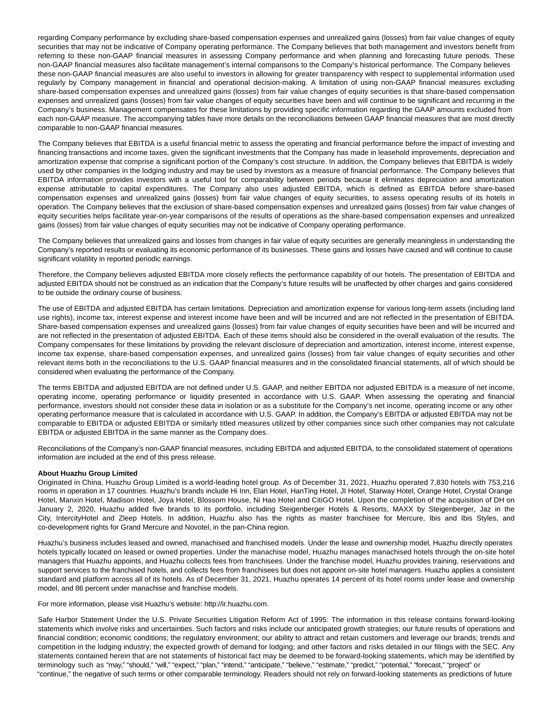regarding Company performance by excluding share-based compensation expenses and unrealized gains (losses) from fair value changes of equity securities that may not be indicative of Company operating performance. The Company believes that both management and investors benefit from referring to these non-GAAP financial measures in assessing Company performance and when planning and forecasting future periods. These non-GAAP financial measures also facilitate management's internal comparisons to the Company's historical performance. The Company believes these non-GAAP financial measures are also useful to investors in allowing for greater transparency with respect to supplemental information used regularly by Company management in financial and operational decision-making. A limitation of using non-GAAP financial measures excluding share-based compensation expenses and unrealized gains (losses) from fair value changes of equity securities is that share-based compensation expenses and unrealized gains (losses) from fair value changes of equity securities have been and will continue to be significant and recurring in the Company's business. Management compensates for these limitations by providing specific information regarding the GAAP amounts excluded from each non-GAAP measure. The accompanying tables have more details on the reconciliations between GAAP financial measures that are most directly comparable to non-GAAP financial measures.

The Company believes that EBITDA is a useful financial metric to assess the operating and financial performance before the impact of investing and financing transactions and income taxes, given the significant investments that the Company has made in leasehold improvements, depreciation and amortization expense that comprise a significant portion of the Company's cost structure. In addition, the Company believes that EBITDA is widely used by other companies in the lodging industry and may be used by investors as a measure of financial performance. The Company believes that EBITDA information provides investors with a useful tool for comparability between periods because it eliminates depreciation and amortization expense attributable to capital expenditures. The Company also uses adjusted EBITDA, which is defined as EBITDA before share-based compensation expenses and unrealized gains (losses) from fair value changes of equity securities, to assess operating results of its hotels in operation. The Company believes that the exclusion of share-based compensation expenses and unrealized gains (losses) from fair value changes of equity securities helps facilitate year-on-year comparisons of the results of operations as the share-based compensation expenses and unrealized gains (losses) from fair value changes of equity securities may not be indicative of Company operating performance.

The Company believes that unrealized gains and losses from changes in fair value of equity securities are generally meaningless in understanding the Company's reported results or evaluating its economic performance of its businesses. These gains and losses have caused and will continue to cause significant volatility in reported periodic earnings.

Therefore, the Company believes adjusted EBITDA more closely reflects the performance capability of our hotels. The presentation of EBITDA and adjusted EBITDA should not be construed as an indication that the Company's future results will be unaffected by other charges and gains considered to be outside the ordinary course of business.

The use of EBITDA and adjusted EBITDA has certain limitations. Depreciation and amortization expense for various long-term assets (including land use rights), income tax, interest expense and interest income have been and will be incurred and are not reflected in the presentation of EBITDA. Share-based compensation expenses and unrealized gains (losses) from fair value changes of equity securities have been and will be incurred and are not reflected in the presentation of adjusted EBITDA. Each of these items should also be considered in the overall evaluation of the results. The Company compensates for these limitations by providing the relevant disclosure of depreciation and amortization, interest income, interest expense, income tax expense, share-based compensation expenses, and unrealized gains (losses) from fair value changes of equity securities and other relevant items both in the reconciliations to the U.S. GAAP financial measures and in the consolidated financial statements, all of which should be considered when evaluating the performance of the Company.

The terms EBITDA and adjusted EBITDA are not defined under U.S. GAAP, and neither EBITDA nor adjusted EBITDA is a measure of net income, operating income, operating performance or liquidity presented in accordance with U.S. GAAP. When assessing the operating and financial performance, investors should not consider these data in isolation or as a substitute for the Company's net income, operating income or any other operating performance measure that is calculated in accordance with U.S. GAAP. In addition, the Company's EBITDA or adjusted EBITDA may not be comparable to EBITDA or adjusted EBITDA or similarly titled measures utilized by other companies since such other companies may not calculate EBITDA or adjusted EBITDA in the same manner as the Company does.

Reconciliations of the Company's non-GAAP financial measures, including EBITDA and adjusted EBITDA, to the consolidated statement of operations information are included at the end of this press release.

## **About Huazhu Group Limited**

Originated in China, Huazhu Group Limited is a world-leading hotel group. As of December 31, 2021, Huazhu operated 7,830 hotels with 753,216 rooms in operation in 17 countries. Huazhu's brands include Hi Inn, Elan Hotel, HanTing Hotel, JI Hotel, Starway Hotel, Orange Hotel, Crystal Orange Hotel, Manxin Hotel, Madison Hotel, Joya Hotel, Blossom House, Ni Hao Hotel and CitiGO Hotel. Upon the completion of the acquisition of DH on January 2, 2020, Huazhu added five brands to its portfolio, including Steigenberger Hotels & Resorts, MAXX by Steigenberger, Jaz in the City, IntercityHotel and Zleep Hotels. In addition, Huazhu also has the rights as master franchisee for Mercure, Ibis and Ibis Styles, and co-development rights for Grand Mercure and Novotel, in the pan-China region.

Huazhu's business includes leased and owned, manachised and franchised models. Under the lease and ownership model, Huazhu directly operates hotels typically located on leased or owned properties. Under the manachise model, Huazhu manages manachised hotels through the on-site hotel managers that Huazhu appoints, and Huazhu collects fees from franchisees. Under the franchise model, Huazhu provides training, reservations and support services to the franchised hotels, and collects fees from franchisees but does not appoint on-site hotel managers. Huazhu applies a consistent standard and platform across all of its hotels. As of December 31, 2021, Huazhu operates 14 percent of its hotel rooms under lease and ownership model, and 86 percent under manachise and franchise models.

For more information, please visit Huazhu's website: http://ir.huazhu.com.

Safe Harbor Statement Under the U.S. Private Securities Litigation Reform Act of 1995: The information in this release contains forward-looking statements which involve risks and uncertainties. Such factors and risks include our anticipated growth strategies; our future results of operations and financial condition; economic conditions; the regulatory environment; our ability to attract and retain customers and leverage our brands; trends and competition in the lodging industry; the expected growth of demand for lodging; and other factors and risks detailed in our filings with the SEC. Any statements contained herein that are not statements of historical fact may be deemed to be forward-looking statements, which may be identified by terminology such as "may," "should," "will," "expect," "plan," "intend," "anticipate," "believe," "estimate," "predict," "potential," "forecast," "project" or "continue," the negative of such terms or other comparable terminology. Readers should not rely on forward-looking statements as predictions of future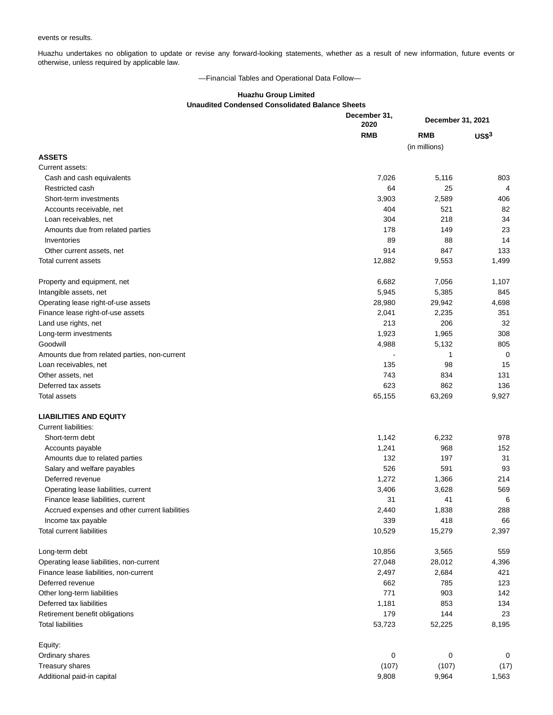#### events or results.

Huazhu undertakes no obligation to update or revise any forward-looking statements, whether as a result of new information, future events or otherwise, unless required by applicable law.

—Financial Tables and Operational Data Follow—

## **Huazhu Group Limited Unaudited Condensed Consolidated Balance Sheets**

|                                                              | December 31,<br>2020 | December 31, 2021 |              |  |
|--------------------------------------------------------------|----------------------|-------------------|--------------|--|
|                                                              | <b>RMB</b>           | <b>RMB</b>        | $US$^3$      |  |
|                                                              |                      | (in millions)     |              |  |
| <b>ASSETS</b>                                                |                      |                   |              |  |
| Current assets:                                              |                      |                   |              |  |
| Cash and cash equivalents                                    | 7,026                | 5,116             | 803          |  |
| Restricted cash                                              | 64                   | 25                | 4            |  |
| Short-term investments                                       | 3,903                | 2,589             | 406          |  |
| Accounts receivable, net                                     | 404                  | 521               | 82           |  |
| Loan receivables, net                                        | 304                  | 218               | 34           |  |
| Amounts due from related parties                             | 178                  | 149               | 23           |  |
| Inventories                                                  | 89                   | 88                | 14           |  |
| Other current assets, net                                    | 914                  | 847               | 133          |  |
| Total current assets                                         | 12,882               | 9,553             | 1,499        |  |
| Property and equipment, net                                  | 6,682                | 7,056             | 1,107        |  |
| Intangible assets, net                                       | 5,945                | 5,385             | 845          |  |
| Operating lease right-of-use assets                          | 28,980               | 29,942            | 4,698        |  |
| Finance lease right-of-use assets                            | 2,041                | 2,235             | 351          |  |
| Land use rights, net                                         | 213                  | 206               | 32           |  |
| Long-term investments                                        | 1,923                | 1,965             | 308          |  |
| Goodwill                                                     | 4,988                | 5,132             | 805          |  |
| Amounts due from related parties, non-current                |                      | 1                 | 0            |  |
| Loan receivables, net                                        | 135                  | 98                | 15           |  |
| Other assets, net                                            | 743                  | 834               | 131          |  |
| Deferred tax assets<br>Total assets                          | 623<br>65,155        | 862<br>63,269     | 136<br>9,927 |  |
|                                                              |                      |                   |              |  |
| <b>LIABILITIES AND EQUITY</b><br><b>Current liabilities:</b> |                      |                   |              |  |
|                                                              |                      |                   |              |  |
| Short-term debt                                              | 1,142                | 6,232             | 978          |  |
| Accounts payable<br>Amounts due to related parties           | 1,241<br>132         | 968<br>197        | 152<br>31    |  |
| Salary and welfare payables                                  | 526                  | 591               | 93           |  |
| Deferred revenue                                             | 1,272                | 1,366             | 214          |  |
| Operating lease liabilities, current                         | 3,406                | 3,628             | 569          |  |
| Finance lease liabilities, current                           | 31                   | 41                | 6            |  |
| Accrued expenses and other current liabilities               | 2,440                | 1,838             | 288          |  |
| Income tax payable                                           | 339                  | 418               | 66           |  |
| <b>Total current liabilities</b>                             | 10,529               | 15,279            | 2,397        |  |
| Long-term debt                                               | 10,856               | 3,565             | 559          |  |
| Operating lease liabilities, non-current                     | 27,048               | 28,012            | 4,396        |  |
| Finance lease liabilities, non-current                       | 2,497                | 2,684             | 421          |  |
| Deferred revenue                                             | 662                  | 785               | 123          |  |
| Other long-term liabilities                                  | 771                  | 903               | 142          |  |
| Deferred tax liabilities                                     | 1,181                | 853               | 134          |  |
| Retirement benefit obligations                               | 179                  | 144               | 23           |  |
| Total liabilities                                            | 53,723               | 52,225            | 8,195        |  |
| Equity:                                                      |                      |                   |              |  |
| Ordinary shares                                              | 0                    | 0                 | 0            |  |
| Treasury shares                                              | (107)                | (107)             | (17)         |  |
| Additional paid-in capital                                   | 9,808                | 9,964             | 1,563        |  |
|                                                              |                      |                   |              |  |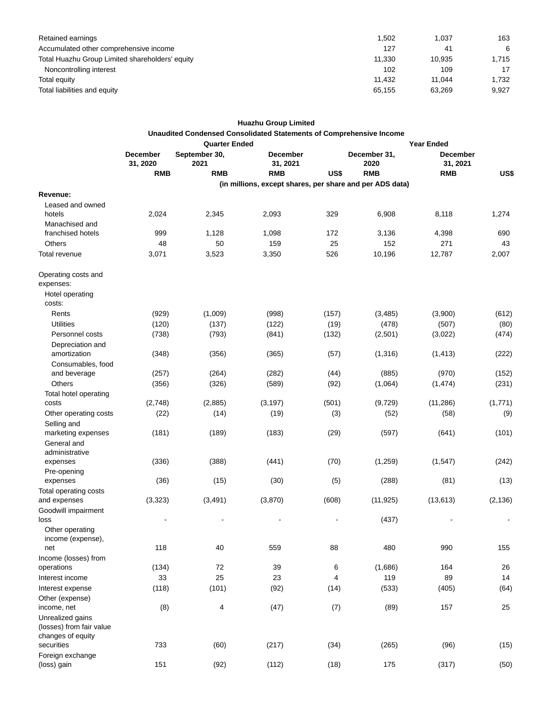| Retained earnings                               | 1.502  | 1.037  | 163   |
|-------------------------------------------------|--------|--------|-------|
| Accumulated other comprehensive income          | 127    | 41     | 6     |
| Total Huazhu Group Limited shareholders' equity | 11.330 | 10.935 | 1.715 |
| Noncontrolling interest                         | 102    | 109    | 17    |
| Total equity                                    | 11.432 | 11.044 | 1.732 |
| Total liabilities and equity                    | 65.155 | 63.269 | 9.927 |

|                                              |                                                                     |                       | <b>Huazhu Group Limited</b>                              |        |                      |                             |          |  |
|----------------------------------------------|---------------------------------------------------------------------|-----------------------|----------------------------------------------------------|--------|----------------------|-----------------------------|----------|--|
|                                              | Unaudited Condensed Consolidated Statements of Comprehensive Income |                       |                                                          |        |                      |                             |          |  |
|                                              |                                                                     | <b>Quarter Ended</b>  |                                                          |        |                      | <b>Year Ended</b>           |          |  |
|                                              | December<br>31, 2020                                                | September 30,<br>2021 | December<br>31, 2021                                     |        | December 31,<br>2020 | <b>December</b><br>31, 2021 |          |  |
|                                              | <b>RMB</b>                                                          | <b>RMB</b>            | <b>RMB</b>                                               | US\$   | <b>RMB</b>           | <b>RMB</b>                  | US\$     |  |
|                                              |                                                                     |                       | (in millions, except shares, per share and per ADS data) |        |                      |                             |          |  |
| Revenue:                                     |                                                                     |                       |                                                          |        |                      |                             |          |  |
| Leased and owned                             |                                                                     |                       |                                                          |        |                      |                             |          |  |
| hotels                                       | 2,024                                                               | 2,345                 | 2,093                                                    | 329    | 6,908                | 8,118                       | 1,274    |  |
| Manachised and                               |                                                                     |                       |                                                          |        |                      |                             |          |  |
| franchised hotels                            | 999                                                                 | 1,128                 | 1,098                                                    | 172    | 3,136                | 4,398                       | 690      |  |
| <b>Others</b>                                | 48                                                                  | 50                    | 159                                                      | 25     | 152                  | 271                         | 43       |  |
| Total revenue                                | 3,071                                                               | 3,523                 | 3,350                                                    | 526    | 10,196               | 12,787                      | 2,007    |  |
| Operating costs and<br>expenses:             |                                                                     |                       |                                                          |        |                      |                             |          |  |
| Hotel operating<br>costs:                    |                                                                     |                       |                                                          |        |                      |                             |          |  |
| Rents                                        | (929)                                                               | (1,009)               | (998)                                                    | (157)  | (3,485)              | (3,900)                     | (612)    |  |
| <b>Utilities</b>                             | (120)                                                               | (137)                 | (122)                                                    | (19)   | (478)                | (507)                       | (80)     |  |
| Personnel costs                              | (738)                                                               | (793)                 | (841)                                                    | (132)  | (2,501)              | (3,022)                     | (474)    |  |
| Depreciation and                             |                                                                     |                       |                                                          |        |                      |                             |          |  |
| amortization                                 | (348)                                                               | (356)                 | (365)                                                    | (57)   | (1, 316)             | (1, 413)                    | (222)    |  |
| Consumables, food                            |                                                                     |                       |                                                          |        |                      |                             |          |  |
| and beverage                                 | (257)                                                               | (264)                 | (282)                                                    | (44)   | (885)                | (970)                       | (152)    |  |
| Others                                       | (356)                                                               | (326)                 | (589)                                                    | (92)   | (1,064)              | (1, 474)                    | (231)    |  |
| Total hotel operating                        |                                                                     |                       |                                                          |        |                      |                             |          |  |
| costs                                        | (2,748)                                                             | (2,885)               | (3, 197)                                                 | (501)  | (9,729)              | (11, 286)                   | (1,771)  |  |
| Other operating costs                        | (22)                                                                | (14)                  | (19)                                                     | (3)    | (52)                 | (58)                        | (9)      |  |
| Selling and                                  |                                                                     |                       |                                                          |        |                      |                             |          |  |
| marketing expenses                           | (181)                                                               | (189)                 | (183)                                                    | (29)   | (597)                | (641)                       | (101)    |  |
| General and                                  |                                                                     |                       |                                                          |        |                      |                             |          |  |
| administrative                               |                                                                     |                       |                                                          |        |                      |                             |          |  |
| expenses                                     | (336)                                                               | (388)                 | (441)                                                    | (70)   | (1,259)              | (1, 547)                    | (242)    |  |
| Pre-opening                                  |                                                                     |                       |                                                          |        |                      |                             |          |  |
| expenses                                     | (36)                                                                | (15)                  | (30)                                                     | (5)    | (288)                | (81)                        | (13)     |  |
| Total operating costs                        |                                                                     |                       |                                                          |        |                      |                             |          |  |
| and expenses                                 | (3,323)                                                             | (3, 491)              | (3,870)                                                  | (608)  | (11, 925)            | (13, 613)                   | (2, 136) |  |
| Goodwill impairment                          |                                                                     |                       |                                                          |        |                      |                             |          |  |
| loss                                         |                                                                     |                       |                                                          |        | (437)                |                             |          |  |
| Other operating                              |                                                                     |                       |                                                          |        |                      |                             |          |  |
| income (expense),                            |                                                                     |                       |                                                          |        |                      |                             |          |  |
| net                                          | 118                                                                 | 40                    | 559                                                      | 88     | 480                  | 990                         | 155      |  |
| Income (losses) from                         |                                                                     | 72                    | 39                                                       |        |                      | 164                         | 26       |  |
| operations<br>Interest income                | (134)<br>33                                                         | 25                    | 23                                                       | 6<br>4 | (1,686)<br>119       | 89                          | 14       |  |
|                                              |                                                                     |                       |                                                          |        |                      |                             |          |  |
| Interest expense                             | (118)                                                               | (101)                 | (92)                                                     | (14)   | (533)                | (405)                       | (64)     |  |
| Other (expense)<br>income, net               | (8)                                                                 | 4                     | (47)                                                     | (7)    | (89)                 | 157                         | 25       |  |
|                                              |                                                                     |                       |                                                          |        |                      |                             |          |  |
| Unrealized gains<br>(losses) from fair value |                                                                     |                       |                                                          |        |                      |                             |          |  |
| changes of equity                            |                                                                     |                       |                                                          |        |                      |                             |          |  |
| securities                                   | 733                                                                 | (60)                  | (217)                                                    | (34)   | (265)                | (96)                        | (15)     |  |
| Foreign exchange                             |                                                                     |                       |                                                          |        |                      |                             |          |  |
| (loss) gain                                  | 151                                                                 | (92)                  | (112)                                                    | (18)   | 175                  | (317)                       | (50)     |  |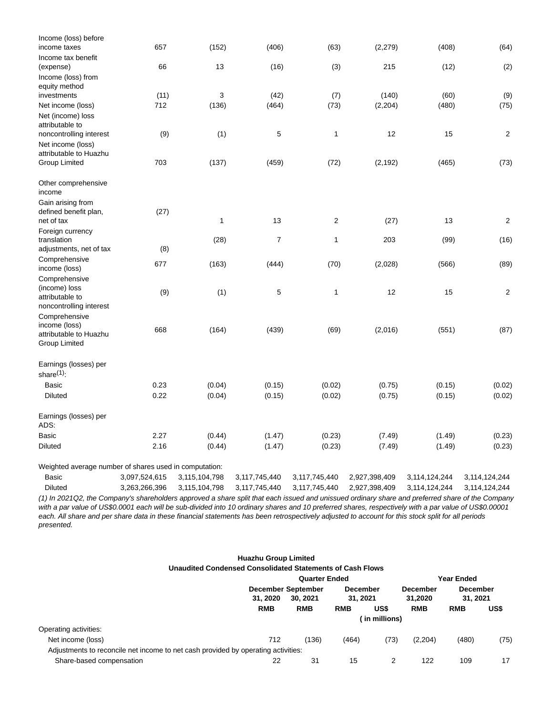| Income (loss) before                                   |      |        |                |                |          |        |                |
|--------------------------------------------------------|------|--------|----------------|----------------|----------|--------|----------------|
| income taxes                                           | 657  | (152)  | (406)          | (63)           | (2, 279) | (408)  | (64)           |
| Income tax benefit<br>(expense)                        | 66   | 13     | (16)           | (3)            | 215      | (12)   | (2)            |
| Income (loss) from                                     |      |        |                |                |          |        |                |
| equity method                                          |      |        |                |                |          |        |                |
| investments                                            | (11) | 3      | (42)           | (7)            | (140)    | (60)   | (9)            |
| Net income (loss)                                      | 712  | (136)  | (464)          | (73)           | (2, 204) | (480)  | (75)           |
| Net (income) loss                                      |      |        |                |                |          |        |                |
| attributable to                                        |      |        |                |                |          |        |                |
| noncontrolling interest                                | (9)  | (1)    | 5              | 1              | 12       | 15     | 2              |
| Net income (loss)                                      |      |        |                |                |          |        |                |
| attributable to Huazhu                                 |      |        |                |                |          |        |                |
| Group Limited                                          | 703  | (137)  | (459)          | (72)           | (2, 192) | (465)  | (73)           |
| Other comprehensive                                    |      |        |                |                |          |        |                |
| income                                                 |      |        |                |                |          |        |                |
| Gain arising from                                      |      |        |                |                |          |        |                |
| defined benefit plan,                                  | (27) |        |                |                |          |        |                |
| net of tax                                             |      | 1      | 13             | $\overline{2}$ | (27)     | 13     | $\sqrt{2}$     |
| Foreign currency<br>translation                        |      | (28)   | $\overline{7}$ | 1              | 203      | (99)   | (16)           |
| adjustments, net of tax                                | (8)  |        |                |                |          |        |                |
| Comprehensive                                          |      |        |                |                |          |        |                |
| income (loss)                                          | 677  | (163)  | (444)          | (70)           | (2,028)  | (566)  | (89)           |
| Comprehensive                                          |      |        |                |                |          |        |                |
| (income) loss                                          |      |        |                |                |          |        |                |
| attributable to                                        | (9)  | (1)    | 5              | $\mathbf{1}$   | 12       | 15     | $\overline{2}$ |
| noncontrolling interest                                |      |        |                |                |          |        |                |
| Comprehensive                                          |      |        |                |                |          |        |                |
| income (loss)                                          | 668  | (164)  | (439)          | (69)           | (2,016)  | (551)  | (87)           |
| attributable to Huazhu<br>Group Limited                |      |        |                |                |          |        |                |
|                                                        |      |        |                |                |          |        |                |
| Earnings (losses) per<br>share $(1)$ :                 |      |        |                |                |          |        |                |
| <b>Basic</b>                                           | 0.23 |        |                |                |          |        |                |
|                                                        | 0.22 | (0.04) | (0.15)         | (0.02)         | (0.75)   | (0.15) | (0.02)         |
| <b>Diluted</b>                                         |      | (0.04) | (0.15)         | (0.02)         | (0.75)   | (0.15) | (0.02)         |
| Earnings (losses) per<br>ADS:                          |      |        |                |                |          |        |                |
| <b>Basic</b>                                           | 2.27 | (0.44) | (1.47)         | (0.23)         | (7.49)   | (1.49) | (0.23)         |
| <b>Diluted</b>                                         | 2.16 | (0.44) | (1.47)         | (0.23)         | (7.49)   | (1.49) | (0.23)         |
| Weighted average number of shares used in computation: |      |        |                |                |          |        |                |
|                                                        |      |        |                |                |          |        |                |

Basic 3,097,524,615 3,115,104,798 3,117,745,440 3,117,745,440 2,927,398,409 3,114,124,244 3,114,124,244 Diluted 3,263,266,396 3,115,104,798 3,117,745,440 3,117,745,440 2,927,398,409 3,114,124,244 3,114,124,244 (1) In 2021Q2, the Company's shareholders approved a share split that each issued and unissued ordinary share and preferred share of the Company with a par value of US\$0.0001 each will be sub-divided into 10 ordinary shares and 10 preferred shares, respectively with a par value of US\$0.00001 each. All share and per share data in these financial statements has been retrospectively adjusted to account for this stock split for all periods presented.

|                                                                                   | <b>Huazhu Group Limited</b>                               |                                       |                            |                |                            |                            |      |
|-----------------------------------------------------------------------------------|-----------------------------------------------------------|---------------------------------------|----------------------------|----------------|----------------------------|----------------------------|------|
|                                                                                   | Unaudited Condensed Consolidated Statements of Cash Flows |                                       |                            |                |                            |                            |      |
|                                                                                   |                                                           | <b>Quarter Ended</b>                  |                            |                |                            | <b>Year Ended</b>          |      |
|                                                                                   | 31.2020                                                   | <b>December September</b><br>30, 2021 | <b>December</b><br>31.2021 |                | <b>December</b><br>31.2020 | <b>December</b><br>31.2021 |      |
|                                                                                   | <b>RMB</b>                                                | <b>RMB</b>                            | <b>RMB</b>                 | US\$           | <b>RMB</b>                 | <b>RMB</b>                 | US\$ |
|                                                                                   |                                                           |                                       |                            | ( in millions) |                            |                            |      |
| Operating activities:                                                             |                                                           |                                       |                            |                |                            |                            |      |
| Net income (loss)                                                                 | 712                                                       | (136)                                 | (464)                      | (73)           | (2,204)                    | (480)                      | (75) |
| Adjustments to reconcile net income to net cash provided by operating activities: |                                                           |                                       |                            |                |                            |                            |      |
| Share-based compensation                                                          | 22                                                        | 31                                    | 15                         | 2              | 122                        | 109                        | 17   |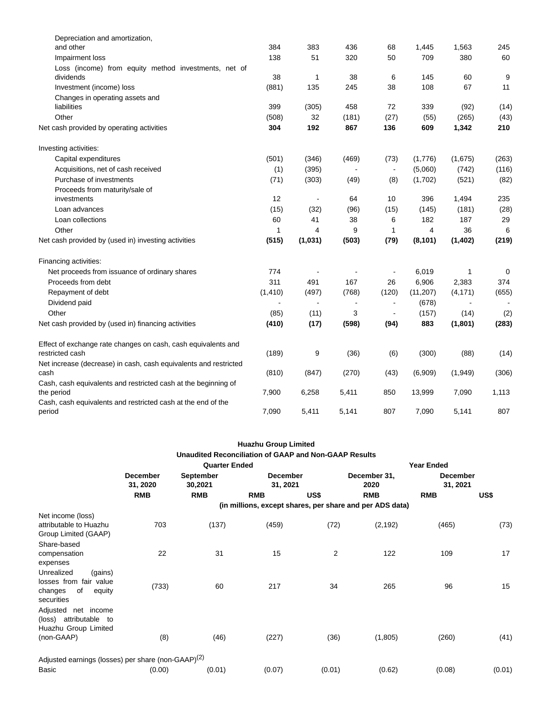| Depreciation and amortization,                                               |                |                |       |       |           |          |       |
|------------------------------------------------------------------------------|----------------|----------------|-------|-------|-----------|----------|-------|
| and other                                                                    | 384            | 383            | 436   | 68    | 1,445     | 1,563    | 245   |
| Impairment loss                                                              | 138            | 51             | 320   | 50    | 709       | 380      | 60    |
| Loss (income) from equity method investments, net of                         |                |                |       |       |           |          |       |
| dividends                                                                    | 38             | 1              | 38    | 6     | 145       | 60       | 9     |
| Investment (income) loss                                                     | (881)          | 135            | 245   | 38    | 108       | 67       | 11    |
| Changes in operating assets and                                              |                |                |       |       |           |          |       |
| liabilities                                                                  | 399            | (305)          | 458   | 72    | 339       | (92)     | (14)  |
| Other                                                                        | (508)          | 32             | (181) | (27)  | (55)      | (265)    | (43)  |
| Net cash provided by operating activities                                    | 304            | 192            | 867   | 136   | 609       | 1,342    | 210   |
| Investing activities:                                                        |                |                |       |       |           |          |       |
| Capital expenditures                                                         | (501)          | (346)          | (469) | (73)  | (1,776)   | (1,675)  | (263) |
| Acquisitions, net of cash received                                           | (1)            | (395)          |       |       | (5,060)   | (742)    | (116) |
| Purchase of investments                                                      | (71)           | (303)          | (49)  | (8)   | (1,702)   | (521)    | (82)  |
| Proceeds from maturity/sale of                                               |                |                |       |       |           |          |       |
| investments                                                                  | 12             |                | 64    | 10    | 396       | 1,494    | 235   |
| Loan advances                                                                | (15)           | (32)           | (96)  | (15)  | (145)     | (181)    | (28)  |
| Loan collections                                                             | 60             | 41             | 38    | 6     | 182       | 187      | 29    |
| Other                                                                        | 1              | 4              | 9     | 1     | 4         | 36       | 6     |
| Net cash provided by (used in) investing activities                          | (515)          | (1,031)        | (503) | (79)  | (8, 101)  | (1, 402) | (219) |
| Financing activities:                                                        |                |                |       |       |           |          |       |
| Net proceeds from issuance of ordinary shares                                | 774            |                |       |       | 6,019     | 1        | 0     |
| Proceeds from debt                                                           | 311            | 491            | 167   | 26    | 6,906     | 2,383    | 374   |
| Repayment of debt                                                            | (1, 410)       | (497)          | (768) | (120) | (11, 207) | (4, 171) | (655) |
| Dividend paid                                                                | $\blacksquare$ | $\blacksquare$ |       |       | (678)     |          |       |
| Other                                                                        | (85)           | (11)           | 3     |       | (157)     | (14)     | (2)   |
| Net cash provided by (used in) financing activities                          | (410)          | (17)           | (598) | (94)  | 883       | (1,801)  | (283) |
| Effect of exchange rate changes on cash, cash equivalents and                |                |                |       |       |           |          |       |
| restricted cash                                                              | (189)          | 9              | (36)  | (6)   | (300)     | (88)     | (14)  |
| Net increase (decrease) in cash, cash equivalents and restricted<br>cash     | (810)          | (847)          | (270) | (43)  | (6,909)   | (1,949)  | (306) |
| Cash, cash equivalents and restricted cash at the beginning of<br>the period | 7,900          | 6,258          | 5,411 | 850   | 13,999    | 7,090    | 1,113 |
| Cash, cash equivalents and restricted cash at the end of the<br>period       | 7,090          | 5,411          | 5,141 | 807   | 7,090     | 5,141    | 807   |
|                                                                              |                |                |       |       |           |          |       |

## **Huazhu Group Limited**

|                                                                                          |                             | Unaudited Reconciliation of GAAP and Non-GAAP Results      |            |        |                      |                             |        |  |  |  |  |
|------------------------------------------------------------------------------------------|-----------------------------|------------------------------------------------------------|------------|--------|----------------------|-----------------------------|--------|--|--|--|--|
|                                                                                          |                             | <b>Quarter Ended</b>                                       |            |        |                      | <b>Year Ended</b>           |        |  |  |  |  |
|                                                                                          | <b>December</b><br>31, 2020 | <b>September</b><br><b>December</b><br>31, 2021<br>30,2021 |            |        | December 31,<br>2020 | <b>December</b><br>31, 2021 |        |  |  |  |  |
|                                                                                          | <b>RMB</b>                  | <b>RMB</b>                                                 | <b>RMB</b> | US\$   | <b>RMB</b>           | <b>RMB</b>                  | US\$   |  |  |  |  |
|                                                                                          |                             | (in millions, except shares, per share and per ADS data)   |            |        |                      |                             |        |  |  |  |  |
| Net income (loss)<br>attributable to Huazhu<br>Group Limited (GAAP)<br>Share-based       | 703                         | (137)                                                      | (459)      | (72)   | (2, 192)             | (465)                       | (73)   |  |  |  |  |
| compensation<br>expenses                                                                 | 22                          | 31                                                         | 15         | 2      | 122                  | 109                         | 17     |  |  |  |  |
| Unrealized<br>(gains)<br>losses from fair value<br>changes<br>of<br>equity<br>securities | (733)                       | 60                                                         | 217        | 34     | 265                  | 96                          | 15     |  |  |  |  |
| Adjusted net income<br>attributable to<br>(loss)<br>Huazhu Group Limited<br>(non-GAAP)   | (8)                         | (46)                                                       | (227)      | (36)   | (1,805)              | (260)                       | (41)   |  |  |  |  |
| Adjusted earnings (losses) per share (non-GAAP) <sup>(2)</sup>                           |                             |                                                            |            |        |                      |                             |        |  |  |  |  |
| Basic                                                                                    | (0.00)                      | (0.01)                                                     | (0.07)     | (0.01) | (0.62)               | (0.08)                      | (0.01) |  |  |  |  |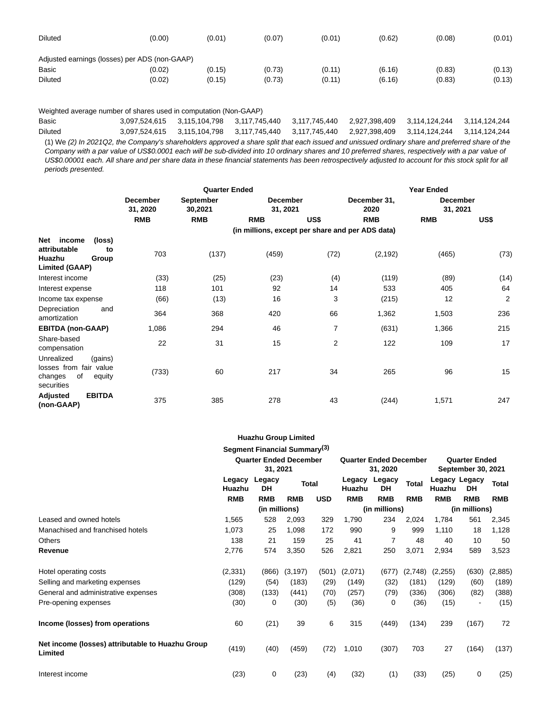| <b>Diluted</b>                                | (0.00) | (0.01) | (0.07) | (0.01) | (0.62) | (0.08) | (0.01) |
|-----------------------------------------------|--------|--------|--------|--------|--------|--------|--------|
| Adjusted earnings (losses) per ADS (non-GAAP) |        |        |        |        |        |        |        |
| Basic                                         | (0.02) | (0.15) | (0.73) | (0.11) | (6.16) | (0.83) | (0.13) |
| <b>Diluted</b>                                | (0.02) | (0.15) | (0.73) | (0.11) | (6.16) | (0.83) | (0.13) |
|                                               |        |        |        |        |        |        |        |

| Weighted average number of shares used in computation (Non-GAAP) |  |  |  |  |                                                                                                   |  |  |  |  |
|------------------------------------------------------------------|--|--|--|--|---------------------------------------------------------------------------------------------------|--|--|--|--|
| Basic                                                            |  |  |  |  | 3,097,524,615 3,115,104,798 3,117,745,440 3,117,745,440 2,927,398,409 3,114,124,244 3,114,124,244 |  |  |  |  |
| <b>Diluted</b>                                                   |  |  |  |  | 3,097,524,615 3,115,104,798 3,117,745,440 3,117,745,440 2,927,398,409 3,114,124,244 3,114,124,244 |  |  |  |  |

(1) We (2) In 2021Q2, the Company's shareholders approved a share split that each issued and unissued ordinary share and preferred share of the Company with a par value of US\$0.0001 each will be sub-divided into 10 ordinary shares and 10 preferred shares, respectively with a par value of US\$0.00001 each. All share and per share data in these financial statements has been retrospectively adjusted to account for this stock split for all periods presented.

|                                                                                           | <b>Quarter Ended</b>        |                                                     |                                                  |      | <b>Year Ended</b>    |                             |                |  |
|-------------------------------------------------------------------------------------------|-----------------------------|-----------------------------------------------------|--------------------------------------------------|------|----------------------|-----------------------------|----------------|--|
|                                                                                           | <b>December</b><br>31, 2020 | September<br><b>December</b><br>30,2021<br>31, 2021 |                                                  |      | December 31,<br>2020 | <b>December</b><br>31, 2021 |                |  |
|                                                                                           | <b>RMB</b>                  | <b>RMB</b>                                          | <b>RMB</b>                                       | US\$ | <b>RMB</b>           | <b>RMB</b>                  | US\$           |  |
|                                                                                           |                             |                                                     | (in millions, except per share and per ADS data) |      |                      |                             |                |  |
| (loss)<br>Net<br>income<br>attributable<br>to<br>Huazhu<br>Group<br><b>Limited (GAAP)</b> | 703                         | (137)                                               | (459)                                            | (72) | (2, 192)             | (465)                       | (73)           |  |
| Interest income                                                                           | (33)                        | (25)                                                | (23)                                             | (4)  | (119)                | (89)                        | (14)           |  |
| Interest expense                                                                          | 118                         | 101                                                 | 92                                               | 14   | 533                  | 405                         | 64             |  |
| Income tax expense                                                                        | (66)                        | (13)                                                | 16                                               | 3    | (215)                | 12                          | $\overline{2}$ |  |
| Depreciation<br>and<br>amortization                                                       | 364                         | 368                                                 | 420                                              | 66   | 1,362                | 1,503                       | 236            |  |
| <b>EBITDA (non-GAAP)</b>                                                                  | 1,086                       | 294                                                 | 46                                               | 7    | (631)                | 1,366                       | 215            |  |
| Share-based<br>compensation                                                               | 22                          | 31                                                  | 15                                               | 2    | 122                  | 109                         | 17             |  |
| Unrealized<br>(gains)<br>losses from fair value<br>changes<br>of<br>equity<br>securities  | (733)                       | 60                                                  | 217                                              | 34   | 265                  | 96                          | 15             |  |
| <b>EBITDA</b><br>Adjusted<br>(non-GAAP)                                                   | 375                         | 385                                                 | 278                                              | 43   | (244)                | 1,571                       | 247            |  |

|                                                             |                  | Huazhu Group Limited                     |              |            |                               |                     |              |                                            |                    |            |
|-------------------------------------------------------------|------------------|------------------------------------------|--------------|------------|-------------------------------|---------------------|--------------|--------------------------------------------|--------------------|------------|
|                                                             |                  | Segment Financial Summary <sup>(3)</sup> |              |            |                               |                     |              |                                            |                    |            |
|                                                             |                  | <b>Quarter Ended December</b><br>31.2021 |              |            | <b>Quarter Ended December</b> | 31, 2020            |              | <b>Quarter Ended</b><br>September 30, 2021 |                    |            |
|                                                             | Legacy<br>Huazhu | Legacy<br>DH                             | <b>Total</b> |            | Legacy<br>Huazhu              | Legacy<br><b>DH</b> | <b>Total</b> | Legacy Legacy<br>Huazhu                    | <b>Total</b><br>DH |            |
|                                                             | <b>RMB</b>       | <b>RMB</b>                               | <b>RMB</b>   | <b>USD</b> | <b>RMB</b>                    | <b>RMB</b>          | <b>RMB</b>   | <b>RMB</b>                                 | <b>RMB</b>         | <b>RMB</b> |
|                                                             |                  | (in millions)                            |              |            |                               | (in millions)       |              | (in millions)                              |                    |            |
| Leased and owned hotels                                     | 1,565            | 528                                      | 2,093        | 329        | 1,790                         | 234                 | 2,024        | 1,784                                      | 561                | 2,345      |
| Manachised and franchised hotels                            | 1,073            | 25                                       | 1,098        | 172        | 990                           | 9                   | 999          | 1,110                                      | 18                 | 1,128      |
| <b>Others</b>                                               | 138              | 21                                       | 159          | 25         | 41                            | 7                   | 48           | 40                                         | 10                 | 50         |
| Revenue                                                     | 2,776            | 574                                      | 3,350        | 526        | 2,821                         | 250                 | 3,071        | 2,934                                      | 589                | 3,523      |
| Hotel operating costs                                       | (2, 331)         | (866)                                    | (3, 197)     | (501)      | (2,071)                       | (677)               | (2,748)      | (2, 255)                                   | (630)              | (2,885)    |
| Selling and marketing expenses                              | (129)            | (54)                                     | (183)        | (29)       | (149)                         | (32)                | (181)        | (129)                                      | (60)               | (189)      |
| General and administrative expenses                         | (308)            | (133)                                    | (441)        | (70)       | (257)                         | (79)                | (336)        | (306)                                      | (82)               | (388)      |
| Pre-opening expenses                                        | (30)             | 0                                        | (30)         | (5)        | (36)                          | 0                   | (36)         | (15)                                       |                    | (15)       |
| Income (losses) from operations                             | 60               | (21)                                     | 39           | 6          | 315                           | (449)               | (134)        | 239                                        | (167)              | 72         |
| Net income (losses) attributable to Huazhu Group<br>Limited | (419)            | (40)                                     | (459)        | (72)       | 1,010                         | (307)               | 703          | 27                                         | (164)              | (137)      |
| Interest income                                             | (23)             | 0                                        | (23)         | (4)        | (32)                          | (1)                 | (33)         | (25)                                       | 0                  | (25)       |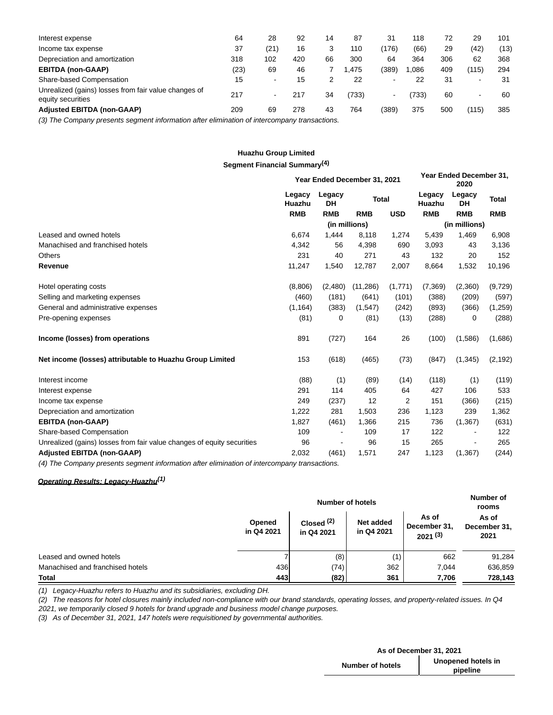| Interest expense                                                                              | 64   | 28                       | 92  | 14 | 87    | 31                       | 118   |     | 29    | 101  |
|-----------------------------------------------------------------------------------------------|------|--------------------------|-----|----|-------|--------------------------|-------|-----|-------|------|
| Income tax expense                                                                            | 37   | (21)                     | 16  | 3  | 110   | (176)                    | (66)  | 29  | (42)  | (13) |
| Depreciation and amortization                                                                 | 318  | 102                      | 420 | 66 | 300   | 64                       | 364   | 306 | 62    | 368  |
| <b>EBITDA (non-GAAP)</b>                                                                      | (23) | 69                       | 46  |    | .475  | (389)                    | .086  | 409 | (115) | 294  |
| Share-based Compensation                                                                      | 15   | $\sim$                   | 15  | っ  | 22    | -                        | 22    | 31  |       | 31   |
| Unrealized (gains) losses from fair value changes of<br>equity securities                     | 217  | $\overline{\phantom{a}}$ | 217 | 34 | (733) | $\overline{\phantom{a}}$ | (733) | 60  |       | 60   |
| <b>Adjusted EBITDA (non-GAAP)</b>                                                             | 209  | 69                       | 278 | 43 | 764   | (389)                    | 375   | 500 | (115) | 385  |
| $(2)$ The Cemperu presente compact information ofter elimination of intercompany transactions |      |                          |     |    |       |                          |       |     |       |      |

(3) The Company presents segment information after elimination of intercompany transactions.

## **Huazhu Group Limited Segment Financial Summary(4)**

|                                                                        | Year Ended December 31, 2021 | Year Ended December 31,<br>2020 |               |              |                  |               |              |
|------------------------------------------------------------------------|------------------------------|---------------------------------|---------------|--------------|------------------|---------------|--------------|
|                                                                        | Legacy<br>Huazhu             | Legacy<br>DH                    |               | <b>Total</b> | Legacy<br>Huazhu | Legacy<br>DH  | <b>Total</b> |
|                                                                        | <b>RMB</b>                   | <b>RMB</b>                      | <b>RMB</b>    | <b>USD</b>   | <b>RMB</b>       | <b>RMB</b>    | <b>RMB</b>   |
|                                                                        |                              |                                 | (in millions) |              |                  | (in millions) |              |
| Leased and owned hotels                                                | 6,674                        | 1,444                           | 8,118         | 1,274        | 5,439            | 1,469         | 6,908        |
| Manachised and franchised hotels                                       | 4,342                        | 56                              | 4,398         | 690          | 3,093            | 43            | 3,136        |
| <b>Others</b>                                                          | 231                          | 40                              | 271           | 43           | 132              | 20            | 152          |
| Revenue                                                                | 11,247                       | 1,540                           | 12,787        | 2,007        | 8,664            | 1,532         | 10,196       |
| Hotel operating costs                                                  | (8,806)                      | (2,480)                         | (11, 286)     | (1,771)      | (7, 369)         | (2,360)       | (9, 729)     |
| Selling and marketing expenses                                         | (460)                        | (181)                           | (641)         | (101)        | (388)            | (209)         | (597)        |
| General and administrative expenses                                    | (1, 164)                     | (383)                           | (1,547)       | (242)        | (893)            | (366)         | (1,259)      |
| Pre-opening expenses                                                   | (81)                         | 0                               | (81)          | (13)         | (288)            | 0             | (288)        |
| Income (losses) from operations                                        | 891                          | (727)                           | 164           | 26           | (100)            | (1,586)       | (1,686)      |
| Net income (losses) attributable to Huazhu Group Limited               | 153                          | (618)                           | (465)         | (73)         | (847)            | (1, 345)      | (2, 192)     |
| Interest income                                                        | (88)                         | (1)                             | (89)          | (14)         | (118)            | (1)           | (119)        |
| Interest expense                                                       | 291                          | 114                             | 405           | 64           | 427              | 106           | 533          |
| Income tax expense                                                     | 249                          | (237)                           | 12            | 2            | 151              | (366)         | (215)        |
| Depreciation and amortization                                          | 1,222                        | 281                             | 1,503         | 236          | 1,123            | 239           | 1,362        |
| <b>EBITDA (non-GAAP)</b>                                               | 1,827                        | (461)                           | 1,366         | 215          | 736              | (1, 367)      | (631)        |
| Share-based Compensation                                               | 109                          |                                 | 109           | 17           | 122              |               | 122          |
| Unrealized (gains) losses from fair value changes of equity securities | 96                           |                                 | 96            | 15           | 265              |               | 265          |
| <b>Adjusted EBITDA (non-GAAP)</b>                                      | 2,032                        | (461)                           | 1,571         | 247          | 1,123            | (1, 367)      | (244)        |
|                                                                        |                              |                                 |               |              |                  |               |              |

(4) The Company presents segment information after elimination of intercompany transactions.

# **Operating Results: Legacy-Huazhu(1)**

|                                  |                      | <b>Number of hotels</b>    |                         |                                       |                               |  |  |  |  |
|----------------------------------|----------------------|----------------------------|-------------------------|---------------------------------------|-------------------------------|--|--|--|--|
|                                  | Opened<br>in Q4 2021 | Closed $(2)$<br>in Q4 2021 | Net added<br>in Q4 2021 | As of<br>December 31,<br>$2021^{(3)}$ | As of<br>December 31,<br>2021 |  |  |  |  |
| Leased and owned hotels          |                      | (8)                        | (1)                     | 662                                   | 91,284                        |  |  |  |  |
| Manachised and franchised hotels | 436                  | (74)                       | 362                     | 7.044                                 | 636,859                       |  |  |  |  |
| Total                            | 443                  | (82)                       | 361                     | 7,706                                 | 728,143                       |  |  |  |  |

(1) Legacy-Huazhu refers to Huazhu and its subsidiaries, excluding DH.

(2) The reasons for hotel closures mainly included non-compliance with our brand standards, operating losses, and property-related issues. In Q4

2021, we temporarily closed 9 hotels for brand upgrade and business model change purposes.

(3) As of December 31, 2021, 147 hotels were requisitioned by governmental authorities.

|                  | As of December 31, 2021 |
|------------------|-------------------------|
| Number of hotels | Unopened hotels in      |
|                  | pipeline                |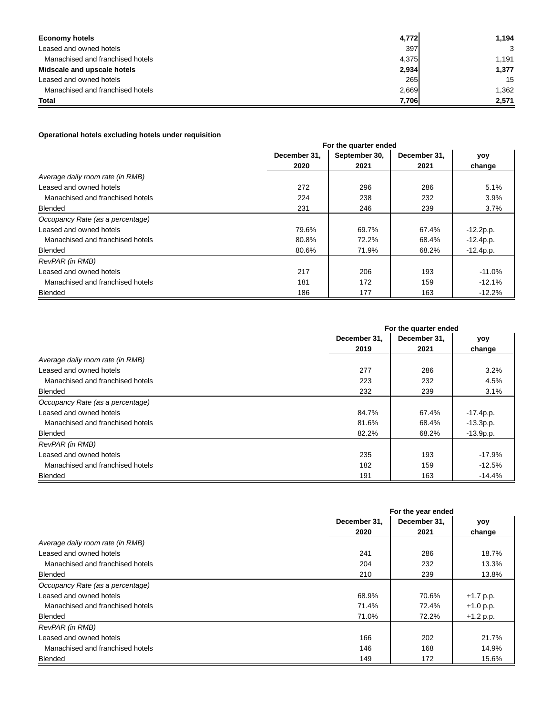| <b>Economy hotels</b>            | 4,772 | 1,194 |
|----------------------------------|-------|-------|
| Leased and owned hotels          | 397   | 3     |
| Manachised and franchised hotels | 4,375 | 1.191 |
| Midscale and upscale hotels      | 2,934 | 1,377 |
| Leased and owned hotels          | 265   | 15    |
| Manachised and franchised hotels | 2,669 | 1.362 |
| Total                            | 7.706 | 2,571 |

# **Operational hotels excluding hotels under requisition**

|                                  | For the quarter ended |               |              |             |  |  |  |  |
|----------------------------------|-----------------------|---------------|--------------|-------------|--|--|--|--|
|                                  | December 31,          | September 30, | December 31, | yoy         |  |  |  |  |
|                                  | 2020                  | 2021          | 2021         | change      |  |  |  |  |
| Average daily room rate (in RMB) |                       |               |              |             |  |  |  |  |
| Leased and owned hotels          | 272                   | 296           | 286          | 5.1%        |  |  |  |  |
| Manachised and franchised hotels | 224                   | 238           | 232          | 3.9%        |  |  |  |  |
| <b>Blended</b>                   | 231                   | 246           | 239          | 3.7%        |  |  |  |  |
| Occupancy Rate (as a percentage) |                       |               |              |             |  |  |  |  |
| Leased and owned hotels          | 79.6%                 | 69.7%         | 67.4%        | $-12.2p.p.$ |  |  |  |  |
| Manachised and franchised hotels | 80.8%                 | 72.2%         | 68.4%        | $-12.4p.p.$ |  |  |  |  |
| <b>Blended</b>                   | 80.6%                 | 71.9%         | 68.2%        | $-12.4p.p.$ |  |  |  |  |
| RevPAR (in RMB)                  |                       |               |              |             |  |  |  |  |
| Leased and owned hotels          | 217                   | 206           | 193          | $-11.0%$    |  |  |  |  |
| Manachised and franchised hotels | 181                   | 172           | 159          | $-12.1%$    |  |  |  |  |
| <b>Blended</b>                   | 186                   | 177           | 163          | $-12.2%$    |  |  |  |  |

|                                  | For the quarter ended |              |             |  |  |  |  |
|----------------------------------|-----------------------|--------------|-------------|--|--|--|--|
|                                  | December 31,          | December 31, | yoy         |  |  |  |  |
|                                  | 2019                  | 2021         | change      |  |  |  |  |
| Average daily room rate (in RMB) |                       |              |             |  |  |  |  |
| Leased and owned hotels          | 277                   | 286          | 3.2%        |  |  |  |  |
| Manachised and franchised hotels | 223                   | 232          | 4.5%        |  |  |  |  |
| <b>Blended</b>                   | 232                   | 239          | 3.1%        |  |  |  |  |
| Occupancy Rate (as a percentage) |                       |              |             |  |  |  |  |
| Leased and owned hotels          | 84.7%                 | 67.4%        | $-17.4p.p.$ |  |  |  |  |
| Manachised and franchised hotels | 81.6%                 | 68.4%        | $-13.3p.p.$ |  |  |  |  |
| Blended                          | 82.2%                 | 68.2%        | -13.9p.p.   |  |  |  |  |
| RevPAR (in RMB)                  |                       |              |             |  |  |  |  |
| Leased and owned hotels          | 235                   | 193          | $-17.9%$    |  |  |  |  |
| Manachised and franchised hotels | 182                   | 159          | $-12.5%$    |  |  |  |  |
| <b>Blended</b>                   | 191                   | 163          | $-14.4%$    |  |  |  |  |

|                                  | For the year ended |              |             |  |  |  |
|----------------------------------|--------------------|--------------|-------------|--|--|--|
|                                  | December 31,       | December 31, | yoy         |  |  |  |
|                                  | 2020               | 2021         | change      |  |  |  |
| Average daily room rate (in RMB) |                    |              |             |  |  |  |
| Leased and owned hotels          | 241                | 286          | 18.7%       |  |  |  |
| Manachised and franchised hotels | 204                | 232          | 13.3%       |  |  |  |
| <b>Blended</b>                   | 210                | 239          | 13.8%       |  |  |  |
| Occupancy Rate (as a percentage) |                    |              |             |  |  |  |
| Leased and owned hotels          | 68.9%              | 70.6%        | $+1.7 p.p.$ |  |  |  |
| Manachised and franchised hotels | 71.4%              | 72.4%        | $+1.0 p.p.$ |  |  |  |
| <b>Blended</b>                   | 71.0%              | 72.2%        | $+1.2 p.p.$ |  |  |  |
| RevPAR (in RMB)                  |                    |              |             |  |  |  |
| Leased and owned hotels          | 166                | 202          | 21.7%       |  |  |  |
| Manachised and franchised hotels | 146                | 168          | 14.9%       |  |  |  |
| <b>Blended</b>                   | 149                | 172          | 15.6%       |  |  |  |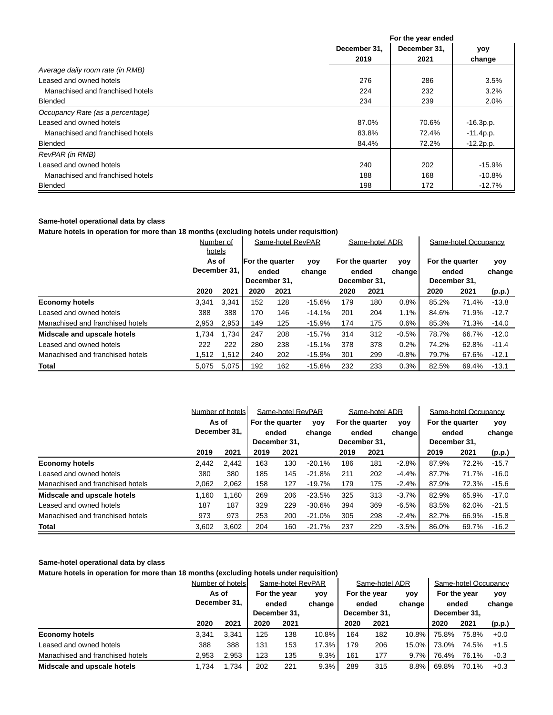|                                  |              | For the year ended |             |  |  |  |  |
|----------------------------------|--------------|--------------------|-------------|--|--|--|--|
|                                  | December 31, | December 31,       | yoy         |  |  |  |  |
|                                  | 2019         | 2021               | change      |  |  |  |  |
| Average daily room rate (in RMB) |              |                    |             |  |  |  |  |
| Leased and owned hotels          | 276          | 286                | 3.5%        |  |  |  |  |
| Manachised and franchised hotels | 224          | 232                | 3.2%        |  |  |  |  |
| <b>Blended</b>                   | 234          | 239                | 2.0%        |  |  |  |  |
| Occupancy Rate (as a percentage) |              |                    |             |  |  |  |  |
| Leased and owned hotels          | 87.0%        | 70.6%              | $-16.3p.p.$ |  |  |  |  |
| Manachised and franchised hotels | 83.8%        | 72.4%              | $-11.4p.p.$ |  |  |  |  |
| Blended                          | 84.4%        | 72.2%              | $-12.2p.p.$ |  |  |  |  |
| RevPAR (in RMB)                  |              |                    |             |  |  |  |  |
| Leased and owned hotels          | 240          | 202                | $-15.9%$    |  |  |  |  |
| Manachised and franchised hotels | 188          | 168                | $-10.8\%$   |  |  |  |  |
| <b>Blended</b>                   | 198          | 172                | $-12.7%$    |  |  |  |  |

# **Same-hotel operational data by class**

**Mature hotels in operation for more than 18 months (excluding hotels under requisition)**

|                                  | Number of<br>hotels |              |                                          | Same-hotel RevPAR<br>Same-hotel ADR |               |                                          |      | Same-hotel Occupancy |                                          |       |               |
|----------------------------------|---------------------|--------------|------------------------------------------|-------------------------------------|---------------|------------------------------------------|------|----------------------|------------------------------------------|-------|---------------|
|                                  | As of               | December 31, | For the quarter<br>ended<br>December 31, |                                     | yoy<br>change | For the quarter<br>ended<br>December 31, |      | yoy<br>change        | For the quarter<br>ended<br>December 31, |       | yoy<br>change |
|                                  | 2020                | 2021         | 2020                                     | 2021                                |               | 2020                                     | 2021 |                      | 2020                                     | 2021  | (p.p.)        |
| <b>Economy hotels</b>            | 3,341               | 3,341        | 152                                      | 128                                 | $-15.6%$      | 179                                      | 180  | 0.8%                 | 85.2%                                    | 71.4% | $-13.8$       |
| Leased and owned hotels          | 388                 | 388          | 170                                      | 146                                 | $-14.1%$      | 201                                      | 204  | 1.1%                 | 84.6%                                    | 71.9% | $-12.7$       |
| Manachised and franchised hotels | 2,953               | 2,953        | 149                                      | 125                                 | $-15.9%$      | 174                                      | 175  | 0.6%                 | 85.3%                                    | 71.3% | $-14.0$       |
| Midscale and upscale hotels      | 1.734               | 1.734        | 247                                      | 208                                 | $-15.7%$      | 314                                      | 312  | $-0.5%$              | 78.7%                                    | 66.7% | $-12.0$       |
| Leased and owned hotels          | 222                 | 222          | 280                                      | 238                                 | $-15.1%$      | 378                                      | 378  | 0.2%                 | 74.2%                                    | 62.8% | $-11.4$       |
| Manachised and franchised hotels | 512.                | 1,512        | 240                                      | 202                                 | $-15.9%$      | 301                                      | 299  | $-0.8%$              | 79.7%                                    | 67.6% | $-12.1$       |
| Total                            | 5,075               | 5,075        | 192                                      | 162                                 | $-15.6%$      | 232                                      | 233  | 0.3%                 | 82.5%                                    | 69.4% | $-13.1$       |

|                                  | Number of hotels |              |                 | Same-hotel RevPAR |          | Same-hotel ADR  |      |         | Same-hotel Occupancy |       |         |
|----------------------------------|------------------|--------------|-----------------|-------------------|----------|-----------------|------|---------|----------------------|-------|---------|
|                                  | As of            |              | For the quarter |                   | yoy      | For the quarter |      | yoy     | For the quarter      |       | yoy     |
|                                  |                  | December 31. | ended           |                   | change   | ended           |      | change  | ended                |       | change  |
|                                  |                  |              | December 31.    |                   |          | December 31,    |      |         | December 31,         |       |         |
|                                  | 2019             | 2021         | 2019            | 2021              |          | 2019            | 2021 |         | 2019                 | 2021  | (p.p.)  |
| <b>Economy hotels</b>            | 2.442            | 2.442        | 163             | 130               | $-20.1%$ | 186             | 181  | $-2.8%$ | 87.9%                | 72.2% | $-15.7$ |
| Leased and owned hotels          | 380              | 380          | 185             | 145               | $-21.8%$ | 211             | 202  | $-4.4%$ | 87.7%                | 71.7% | $-16.0$ |
| Manachised and franchised hotels | 2.062            | 2.062        | 158             | 127               | $-19.7%$ | 179             | 175  | $-2.4%$ | 87.9%                | 72.3% | $-15.6$ |
| Midscale and upscale hotels      | 1.160            | 1.160        | 269             | 206               | $-23.5%$ | 325             | 313  | $-3.7%$ | 82.9%                | 65.9% | $-17.0$ |
| Leased and owned hotels          | 187              | 187          | 329             | 229               | $-30.6%$ | 394             | 369  | $-6.5%$ | 83.5%                | 62.0% | $-21.5$ |
| Manachised and franchised hotels | 973              | 973          | 253             | 200               | $-21.0%$ | 305             | 298  | $-2.4%$ | 82.7%                | 66.9% | $-15.8$ |
| <b>Total</b>                     | 3.602            | 3,602        | 204             | 160               | $-21.7%$ | 237             | 229  | $-3.5%$ | 86.0%                | 69.7% | $-16.2$ |

## **Same-hotel operational data by class**

**Mature hotels in operation for more than 18 months (excluding hotels under requisition)**

|                                  |       | Number of hotels |                       | Same-hotel RevPAR |               | Same-hotel ADR        |              | Same-hotel Occupancy |       |                       |               |
|----------------------------------|-------|------------------|-----------------------|-------------------|---------------|-----------------------|--------------|----------------------|-------|-----------------------|---------------|
|                                  | As of | December 31.     |                       | For the year      | yoy<br>change |                       | For the year | yoy<br>change        |       | For the year          | yoy<br>change |
|                                  |       |                  | ended<br>December 31, |                   |               | ended<br>December 31, |              |                      |       | ended<br>December 31, |               |
|                                  | 2020  | 2021             | 2020                  | 2021              |               | 2020                  | 2021         |                      | 2020  | 2021                  | (p.p.)        |
| <b>Economy hotels</b>            | 3.341 | 3,341            | 125                   | 138               | 10.8%         | 164                   | 182          | 10.8%                | 75.8% | 75.8%                 | $+0.0$        |
| Leased and owned hotels          | 388   | 388              | 131                   | 153               | 17.3%         | 179                   | 206          | 15.0%                | 73.0% | 74.5%                 | $+1.5$        |
| Manachised and franchised hotels | 2,953 | 2.953            | 123                   | 135               | 9.3%          | 161                   | 177          | 9.7%                 | 76.4% | 76.1%                 | $-0.3$        |
| Midscale and upscale hotels      | 1,734 | .734             | 202                   | 221               | 9.3%          | 289                   | 315          | 8.8%                 | 69.8% | 70.1%                 | $+0.3$        |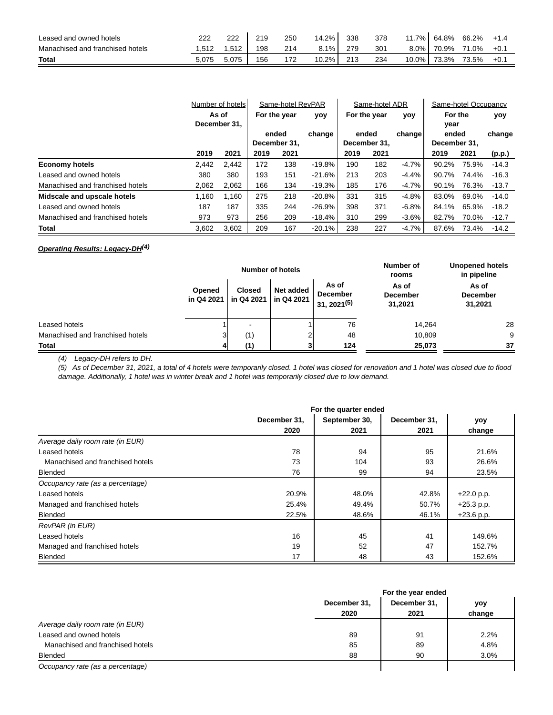| Leased and owned hotels          | 222   | 222   | 219 | 250 | 14.2%    | 338 | 378 | $11.7\%$ l | 64.8%   | 66.2%  | $+1.4$ |
|----------------------------------|-------|-------|-----|-----|----------|-----|-----|------------|---------|--------|--------|
| Manachised and franchised hotels | .512  | .512  | 198 | 214 | $1\%$    | 279 | 301 | $8.0\%$    | 70.9%   | $.0\%$ | $+0.$  |
| <b>Total</b>                     | 5.075 | 5.075 | 156 | 172 | $10.2\%$ | 213 | 234 | $10.0\%$   | $3.3\%$ | 73.5%  | $+0.$  |

|                                  |       | Number of hotels      |      | Same-hotel RevPAR     |          |      | Same-hotel ADR        |          | Same-hotel Occupancy  |       |         |  |
|----------------------------------|-------|-----------------------|------|-----------------------|----------|------|-----------------------|----------|-----------------------|-------|---------|--|
|                                  |       | As of<br>December 31, |      | For the year          | yoy      |      | For the year          | yoy      | For the<br>year       |       | yoy     |  |
|                                  |       |                       |      | ended<br>December 31. | change   |      | ended<br>December 31. | change   | ended<br>December 31. |       | change  |  |
|                                  | 2019  | 2021                  | 2019 | 2021                  |          | 2019 | 2021                  |          | 2019                  | 2021  | (p.p.)  |  |
| <b>Economy hotels</b>            | 2,442 | 2,442                 | 172  | 138                   | $-19.8%$ | 190  | 182                   | $-4.7\%$ | 90.2%                 | 75.9% | $-14.3$ |  |
| Leased and owned hotels          | 380   | 380                   | 193  | 151                   | $-21.6%$ | 213  | 203                   | $-4.4%$  | 90.7%                 | 74.4% | $-16.3$ |  |
| Manachised and franchised hotels | 2,062 | 2,062                 | 166  | 134                   | $-19.3%$ | 185  | 176                   | $-4.7\%$ | 90.1%                 | 76.3% | $-13.7$ |  |
| Midscale and upscale hotels      | 1,160 | 1,160                 | 275  | 218                   | $-20.8%$ | 331  | 315                   | $-4.8%$  | 83.0%                 | 69.0% | $-14.0$ |  |
| Leased and owned hotels          | 187   | 187                   | 335  | 244                   | $-26.9%$ | 398  | 371                   | $-6.8%$  | 84.1%                 | 65.9% | $-18.2$ |  |
| Manachised and franchised hotels | 973   | 973                   | 256  | 209                   | $-18.4%$ | 310  | 299                   | $-3.6%$  | 82.7%                 | 70.0% | $-12.7$ |  |
| <b>Total</b>                     | 3,602 | 3,602                 | 209  | 167                   | $-20.1%$ | 238  | 227                   | $-4.7\%$ | 87.6%                 | 73.4% | $-14.2$ |  |

# **Operating Results: Legacy-DH(4)**

|                                  |                      |                             | <b>Number of hotels</b> | Number of<br>rooms                    | <b>Unopened hotels</b><br>in pipeline |                                     |
|----------------------------------|----------------------|-----------------------------|-------------------------|---------------------------------------|---------------------------------------|-------------------------------------|
|                                  | Opened<br>in Q4 2021 | <b>Closed</b><br>in Q4 2021 | Net added<br>in Q4 2021 | As of<br>December<br>$31, 2021^{(5)}$ | As of<br><b>December</b><br>31,2021   | As of<br><b>December</b><br>31,2021 |
| Leased hotels                    |                      |                             |                         | 76                                    | 14,264                                | 28                                  |
| Manachised and franchised hotels |                      | (1)                         | ി                       | 48                                    | 10,809                                | 9                                   |
| Total                            |                      |                             | 3                       | 124                                   | 25,073                                | 37                                  |

(4) Legacy-DH refers to DH.

 $(5)$  As of December 31, 2021, a total of 4 hotels were temporarily closed. 1 hotel was closed for renovation and 1 hotel was closed due to flood damage. Additionally, 1 hotel was in winter break and 1 hotel was temporarily closed due to low demand.

|                                  | For the quarter ended |               |              |              |  |  |
|----------------------------------|-----------------------|---------------|--------------|--------------|--|--|
|                                  | December 31,          | September 30, | December 31, | yoy          |  |  |
|                                  | 2020                  | 2021          | 2021         | change       |  |  |
| Average daily room rate (in EUR) |                       |               |              |              |  |  |
| Leased hotels                    | 78                    | 94            | 95           | 21.6%        |  |  |
| Manachised and franchised hotels | 73                    | 104           | 93           | 26.6%        |  |  |
| <b>Blended</b>                   | 76                    | 99            | 94           | 23.5%        |  |  |
| Occupancy rate (as a percentage) |                       |               |              |              |  |  |
| Leased hotels                    | 20.9%                 | 48.0%         | 42.8%        | $+22.0$ p.p. |  |  |
| Managed and franchised hotels    | 25.4%                 | 49.4%         | 50.7%        | $+25.3$ p.p. |  |  |
| <b>Blended</b>                   | 22.5%                 | 48.6%         | 46.1%        | $+23.6$ p.p. |  |  |
| RevPAR (in EUR)                  |                       |               |              |              |  |  |
| Leased hotels                    | 16                    | 45            | 41           | 149.6%       |  |  |
| Managed and franchised hotels    | 19                    | 52            | 47           | 152.7%       |  |  |
| <b>Blended</b>                   | 17                    | 48            | 43           | 152.6%       |  |  |

|                                  | For the year ended   |                      |               |  |  |
|----------------------------------|----------------------|----------------------|---------------|--|--|
|                                  | December 31,<br>2020 | December 31,<br>2021 | yoy<br>change |  |  |
| Average daily room rate (in EUR) |                      |                      |               |  |  |
| Leased and owned hotels          | 89                   | 91                   | 2.2%          |  |  |
| Manachised and franchised hotels | 85                   | 89                   | 4.8%          |  |  |
| <b>Blended</b>                   | 88                   | 90                   | 3.0%          |  |  |
| Occupancy rate (as a percentage) |                      |                      |               |  |  |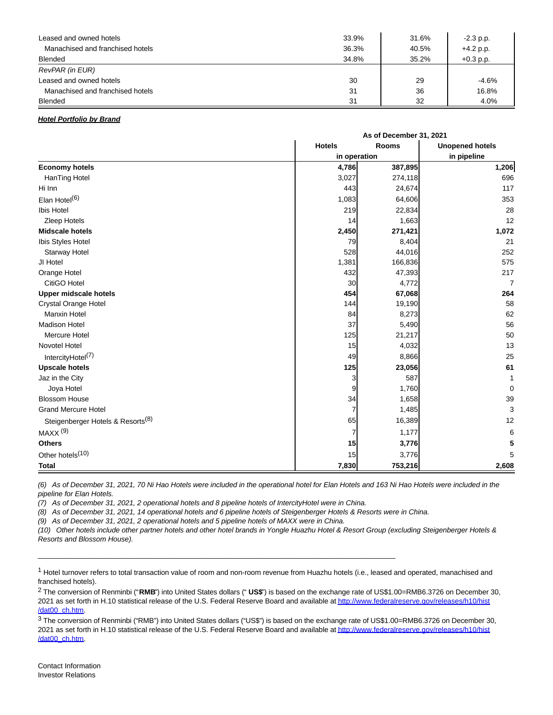| Leased and owned hotels          | 33.9% | 31.6% | $-2.3$ p.p. |
|----------------------------------|-------|-------|-------------|
| Manachised and franchised hotels | 36.3% | 40.5% | $+4.2$ p.p. |
| Blended                          | 34.8% | 35.2% | $+0.3$ p.p. |
| RevPAR (in EUR)                  |       |       |             |
| Leased and owned hotels          | 30    | 29    | $-4.6%$     |
| Manachised and franchised hotels | 31    | 36    | 16.8%       |
| Blended                          | 31    | 32    | 4.0%        |

### **Hotel Portfolio by Brand**

|                                               |               | As of December 31, 2021 |                        |  |  |  |  |
|-----------------------------------------------|---------------|-------------------------|------------------------|--|--|--|--|
|                                               | <b>Hotels</b> | <b>Rooms</b>            | <b>Unopened hotels</b> |  |  |  |  |
|                                               | in operation  |                         | in pipeline            |  |  |  |  |
| <b>Economy hotels</b>                         | 4,786         | 387,895                 | 1,206                  |  |  |  |  |
| HanTing Hotel                                 | 3,027         | 274,118                 | 696                    |  |  |  |  |
| Hi Inn                                        | 443           | 24,674                  | 117                    |  |  |  |  |
| Elan Hotel <sup>(6)</sup>                     | 1,083         | 64,606                  | 353                    |  |  |  |  |
| Ibis Hotel                                    | 219           | 22,834                  | 28                     |  |  |  |  |
| Zleep Hotels                                  | 14            | 1,663                   | 12                     |  |  |  |  |
| <b>Midscale hotels</b>                        | 2,450         | 271,421                 | 1,072                  |  |  |  |  |
| Ibis Styles Hotel                             | 79            | 8,404                   | 21                     |  |  |  |  |
| <b>Starway Hotel</b>                          | 528           | 44,016                  | 252                    |  |  |  |  |
| JI Hotel                                      | 1,381         | 166,836                 | 575                    |  |  |  |  |
| Orange Hotel                                  | 432           | 47,393                  | 217                    |  |  |  |  |
| CitiGO Hotel                                  | 30            | 4,772                   | $\overline{7}$         |  |  |  |  |
| <b>Upper midscale hotels</b>                  | 454           | 67,068                  | 264                    |  |  |  |  |
| Crystal Orange Hotel                          | 144           | 19,190                  | 58                     |  |  |  |  |
| <b>Manxin Hotel</b>                           | 84            | 8,273                   | 62                     |  |  |  |  |
| <b>Madison Hotel</b>                          | 37            | 5,490                   | 56                     |  |  |  |  |
| Mercure Hotel                                 | 125           | 21,217                  | 50                     |  |  |  |  |
| Novotel Hotel                                 | 15            | 4,032                   | 13                     |  |  |  |  |
| IntercityHotel <sup>(7)</sup>                 | 49            | 8,866                   | 25                     |  |  |  |  |
| <b>Upscale hotels</b>                         | 125           | 23,056                  | 61                     |  |  |  |  |
| Jaz in the City                               | 3             | 587                     | 1                      |  |  |  |  |
| Joya Hotel                                    | 9             | 1,760                   | $\Omega$               |  |  |  |  |
| <b>Blossom House</b>                          | 34            | 1,658                   | 39                     |  |  |  |  |
| <b>Grand Mercure Hotel</b>                    | 7             | 1,485                   | 3                      |  |  |  |  |
| Steigenberger Hotels & Resorts <sup>(8)</sup> | 65            | 16,389                  | 12                     |  |  |  |  |
| MAXX <sup>(9)</sup>                           | 7             | 1,177                   | 6                      |  |  |  |  |
| <b>Others</b>                                 | 15            | 3,776                   | 5                      |  |  |  |  |
| Other hotels <sup>(10)</sup>                  | 15            | 3,776                   | 5                      |  |  |  |  |
| <b>Total</b>                                  | 7,830         | 753,216                 | 2,608                  |  |  |  |  |

(6) As of December 31, 2021, 70 Ni Hao Hotels were included in the operational hotel for Elan Hotels and 163 Ni Hao Hotels were included in the pipeline for Elan Hotels.

(7) As of December 31, 2021, 2 operational hotels and 8 pipeline hotels of IntercityHotel were in China.

(8) As of December 31, 2021, 14 operational hotels and 6 pipeline hotels of Steigenberger Hotels & Resorts were in China.

\_\_\_\_\_\_\_\_\_\_\_\_\_\_\_\_\_\_\_\_\_\_\_\_\_\_\_\_\_\_\_\_\_\_\_\_\_\_\_\_\_\_\_\_\_\_\_\_\_\_\_\_\_\_\_\_\_\_\_\_\_\_\_\_\_\_\_\_\_\_\_\_\_\_\_\_\_\_\_\_\_\_\_\_\_\_\_\_\_

(9) As of December 31, 2021, 2 operational hotels and 5 pipeline hotels of MAXX were in China.

(10) Other hotels include other partner hotels and other hotel brands in Yongle Huazhu Hotel & Resort Group (excluding Steigenberger Hotels & Resorts and Blossom House).

<sup>1</sup> Hotel turnover refers to total transaction value of room and non-room revenue from Huazhu hotels (i.e., leased and operated, manachised and franchised hotels).

2 The conversion of Renminbi ("**RMB**") into United States dollars (" **US\$**") is based on the exchange rate of US\$1.00=RMB6.3726 on December 30, 2021 as set forth in H.10 statistical release of the U.S. Federal Reserve Board and available a[t http://www.federalreserve.gov/releases/h10/hist](https://www.globenewswire.com/Tracker?data=QWQ9iz7gdI2K_d7ZYK8g8ZCwd78pNtR0Ne6QE9BXQVP_1GRWVGjBRFPv2IBH-ExX7ltgA2i80vUoZneuPzGK9nrMayLdv7rHnANXo_XPLF7DzlO4QdazgM8b2LmFTByySAZXiQc98JQ5hNQ4fq2Gbh81F19f9ySpzfErIQPfJpS9OUc3Mo9tP_2TXM-qgdX0) /dat00\_ch.htm.

3 The conversion of Renminbi ("RMB") into United States dollars ("US\$") is based on the exchange rate of US\$1.00=RMB6.3726 on December 30, 2021 as set forth in H.10 statistical release of the U.S. Federal Reserve Board and available a[t http://www.federalreserve.gov/releases/h10/hist](https://www.globenewswire.com/Tracker?data=QWQ9iz7gdI2K_d7ZYK8g8ZCwd78pNtR0Ne6QE9BXQVP_1GRWVGjBRFPv2IBH-ExX7ltgA2i80vUoZneuPzGK9nTfTQUIUrImgNc6vfYoWF2qF9l65XhdcS-spPNJKbaxpwYQeqav-XFCR3BboxQkg0g39aSyW5khy-Jv0EMh7SSJ__7y7U9g1Hw4T2zZDQov) /dat00\_ch.htm.